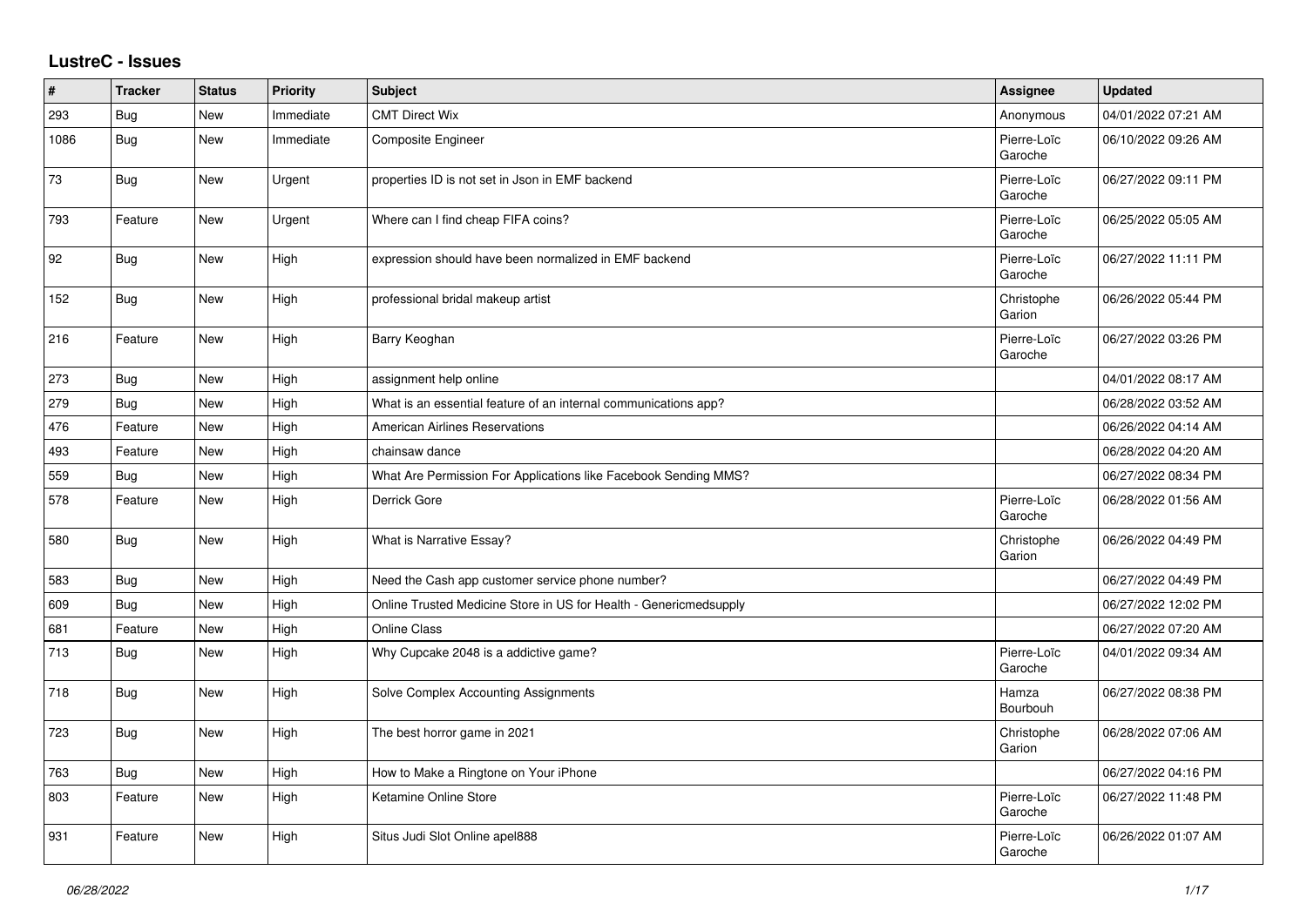## **LustreC - Issues**

| ∦    | <b>Tracker</b> | <b>Status</b> | Priority  | Subject                                                           | Assignee               | <b>Updated</b>      |
|------|----------------|---------------|-----------|-------------------------------------------------------------------|------------------------|---------------------|
| 293  | Bug            | <b>New</b>    | Immediate | <b>CMT Direct Wix</b>                                             | Anonymous              | 04/01/2022 07:21 AM |
| 1086 | Bug            | <b>New</b>    | Immediate | <b>Composite Engineer</b>                                         | Pierre-Loïc<br>Garoche | 06/10/2022 09:26 AM |
| 73   | Bug            | New           | Urgent    | properties ID is not set in Json in EMF backend                   | Pierre-Loïc<br>Garoche | 06/27/2022 09:11 PM |
| 793  | Feature        | New           | Urgent    | Where can I find cheap FIFA coins?                                | Pierre-Loïc<br>Garoche | 06/25/2022 05:05 AM |
| 92   | <b>Bug</b>     | New           | High      | expression should have been normalized in EMF backend             | Pierre-Loïc<br>Garoche | 06/27/2022 11:11 PM |
| 152  | Bug            | <b>New</b>    | High      | professional bridal makeup artist                                 | Christophe<br>Garion   | 06/26/2022 05:44 PM |
| 216  | Feature        | <b>New</b>    | High      | Barry Keoghan                                                     | Pierre-Loïc<br>Garoche | 06/27/2022 03:26 PM |
| 273  | Bug            | New           | High      | assignment help online                                            |                        | 04/01/2022 08:17 AM |
| 279  | Bug            | <b>New</b>    | High      | What is an essential feature of an internal communications app?   |                        | 06/28/2022 03:52 AM |
| 476  | Feature        | <b>New</b>    | High      | <b>American Airlines Reservations</b>                             |                        | 06/26/2022 04:14 AM |
| 493  | Feature        | <b>New</b>    | High      | chainsaw dance                                                    |                        | 06/28/2022 04:20 AM |
| 559  | Bug            | New           | High      | What Are Permission For Applications like Facebook Sending MMS?   |                        | 06/27/2022 08:34 PM |
| 578  | Feature        | New           | High      | Derrick Gore                                                      | Pierre-Loïc<br>Garoche | 06/28/2022 01:56 AM |
| 580  | Bug            | <b>New</b>    | High      | What is Narrative Essay?                                          | Christophe<br>Garion   | 06/26/2022 04:49 PM |
| 583  | <b>Bug</b>     | <b>New</b>    | High      | Need the Cash app customer service phone number?                  |                        | 06/27/2022 04:49 PM |
| 609  | Bug            | <b>New</b>    | High      | Online Trusted Medicine Store in US for Health - Genericmedsupply |                        | 06/27/2022 12:02 PM |
| 681  | Feature        | <b>New</b>    | High      | <b>Online Class</b>                                               |                        | 06/27/2022 07:20 AM |
| 713  | Bug            | <b>New</b>    | High      | Why Cupcake 2048 is a addictive game?                             | Pierre-Loïc<br>Garoche | 04/01/2022 09:34 AM |
| 718  | Bug            | <b>New</b>    | High      | Solve Complex Accounting Assignments                              | Hamza<br>Bourbouh      | 06/27/2022 08:38 PM |
| 723  | Bug            | <b>New</b>    | High      | The best horror game in 2021                                      | Christophe<br>Garion   | 06/28/2022 07:06 AM |
| 763  | <b>Bug</b>     | <b>New</b>    | High      | How to Make a Ringtone on Your iPhone                             |                        | 06/27/2022 04:16 PM |
| 803  | Feature        | <b>New</b>    | High      | Ketamine Online Store                                             | Pierre-Loïc<br>Garoche | 06/27/2022 11:48 PM |
| 931  | Feature        | <b>New</b>    | High      | Situs Judi Slot Online apel888                                    | Pierre-Loïc<br>Garoche | 06/26/2022 01:07 AM |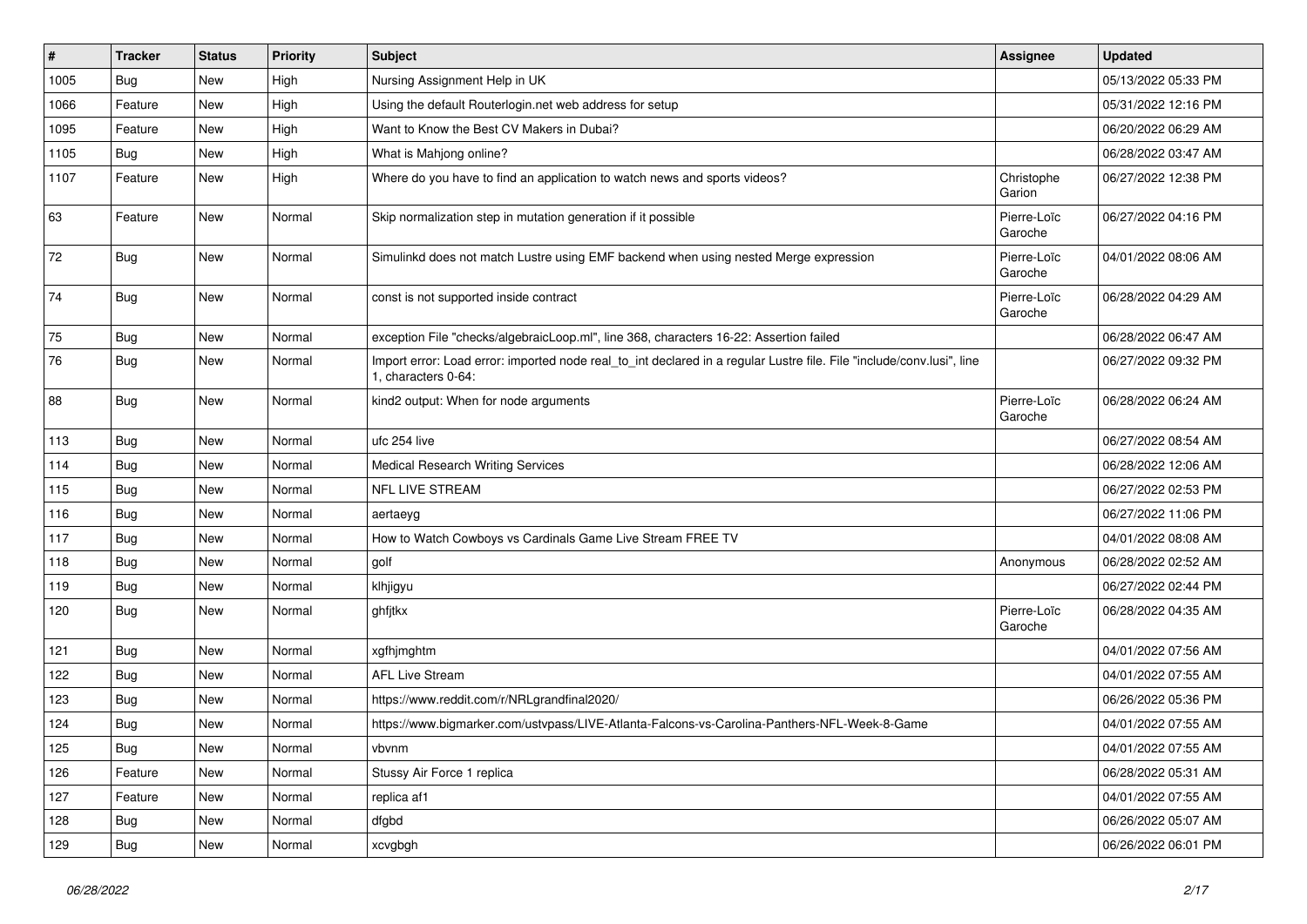| $\sharp$ | <b>Tracker</b> | <b>Status</b> | <b>Priority</b> | Subject                                                                                                                                      | <b>Assignee</b>        | <b>Updated</b>      |
|----------|----------------|---------------|-----------------|----------------------------------------------------------------------------------------------------------------------------------------------|------------------------|---------------------|
| 1005     | <b>Bug</b>     | <b>New</b>    | High            | Nursing Assignment Help in UK                                                                                                                |                        | 05/13/2022 05:33 PM |
| 1066     | Feature        | <b>New</b>    | High            | Using the default Routerlogin.net web address for setup                                                                                      |                        | 05/31/2022 12:16 PM |
| 1095     | Feature        | New           | High            | Want to Know the Best CV Makers in Dubai?                                                                                                    |                        | 06/20/2022 06:29 AM |
| 1105     | <b>Bug</b>     | New           | High            | What is Mahjong online?                                                                                                                      |                        | 06/28/2022 03:47 AM |
| 1107     | Feature        | New           | High            | Where do you have to find an application to watch news and sports videos?                                                                    | Christophe<br>Garion   | 06/27/2022 12:38 PM |
| 63       | Feature        | New           | Normal          | Skip normalization step in mutation generation if it possible                                                                                | Pierre-Loïc<br>Garoche | 06/27/2022 04:16 PM |
| 72       | Bug            | <b>New</b>    | Normal          | Simulinkd does not match Lustre using EMF backend when using nested Merge expression                                                         | Pierre-Loïc<br>Garoche | 04/01/2022 08:06 AM |
| 74       | Bug            | New           | Normal          | const is not supported inside contract                                                                                                       | Pierre-Loïc<br>Garoche | 06/28/2022 04:29 AM |
| 75       | Bug            | New           | Normal          | exception File "checks/algebraicLoop.ml", line 368, characters 16-22: Assertion failed                                                       |                        | 06/28/2022 06:47 AM |
| 76       | <b>Bug</b>     | New           | Normal          | Import error: Load error: imported node real_to_int declared in a regular Lustre file. File "include/conv.lusi", line<br>1. characters 0-64: |                        | 06/27/2022 09:32 PM |
| 88       | <b>Bug</b>     | New           | Normal          | kind2 output: When for node arguments                                                                                                        | Pierre-Loïc<br>Garoche | 06/28/2022 06:24 AM |
| 113      | Bug            | New           | Normal          | ufc 254 live                                                                                                                                 |                        | 06/27/2022 08:54 AM |
| 114      | Bug            | New           | Normal          | <b>Medical Research Writing Services</b>                                                                                                     |                        | 06/28/2022 12:06 AM |
| 115      | <b>Bug</b>     | New           | Normal          | <b>NFL LIVE STREAM</b>                                                                                                                       |                        | 06/27/2022 02:53 PM |
| 116      | Bug            | New           | Normal          | aertaeyg                                                                                                                                     |                        | 06/27/2022 11:06 PM |
| 117      | <b>Bug</b>     | New           | Normal          | How to Watch Cowboys vs Cardinals Game Live Stream FREE TV                                                                                   |                        | 04/01/2022 08:08 AM |
| 118      | Bug            | New           | Normal          | golf                                                                                                                                         | Anonymous              | 06/28/2022 02:52 AM |
| 119      | Bug            | <b>New</b>    | Normal          | klhjigyu                                                                                                                                     |                        | 06/27/2022 02:44 PM |
| 120      | Bug            | New           | Normal          | ghfjtkx                                                                                                                                      | Pierre-Loïc<br>Garoche | 06/28/2022 04:35 AM |
| 121      | Bug            | New           | Normal          | xgfhjmghtm                                                                                                                                   |                        | 04/01/2022 07:56 AM |
| 122      | <b>Bug</b>     | <b>New</b>    | Normal          | <b>AFL Live Stream</b>                                                                                                                       |                        | 04/01/2022 07:55 AM |
| 123      | Bug            | <b>New</b>    | Normal          | https://www.reddit.com/r/NRLgrandfinal2020/                                                                                                  |                        | 06/26/2022 05:36 PM |
| 124      | <b>Bug</b>     | New           | Normal          | https://www.bigmarker.com/ustvpass/LIVE-Atlanta-Falcons-vs-Carolina-Panthers-NFL-Week-8-Game                                                 |                        | 04/01/2022 07:55 AM |
| 125      | <b>Bug</b>     | New           | Normal          | vbvnm                                                                                                                                        |                        | 04/01/2022 07:55 AM |
| 126      | Feature        | New           | Normal          | Stussy Air Force 1 replica                                                                                                                   |                        | 06/28/2022 05:31 AM |
| 127      | Feature        | New           | Normal          | replica af1                                                                                                                                  |                        | 04/01/2022 07:55 AM |
| 128      | Bug            | New           | Normal          | dfgbd                                                                                                                                        |                        | 06/26/2022 05:07 AM |
| 129      | <b>Bug</b>     | New           | Normal          | xcvgbgh                                                                                                                                      |                        | 06/26/2022 06:01 PM |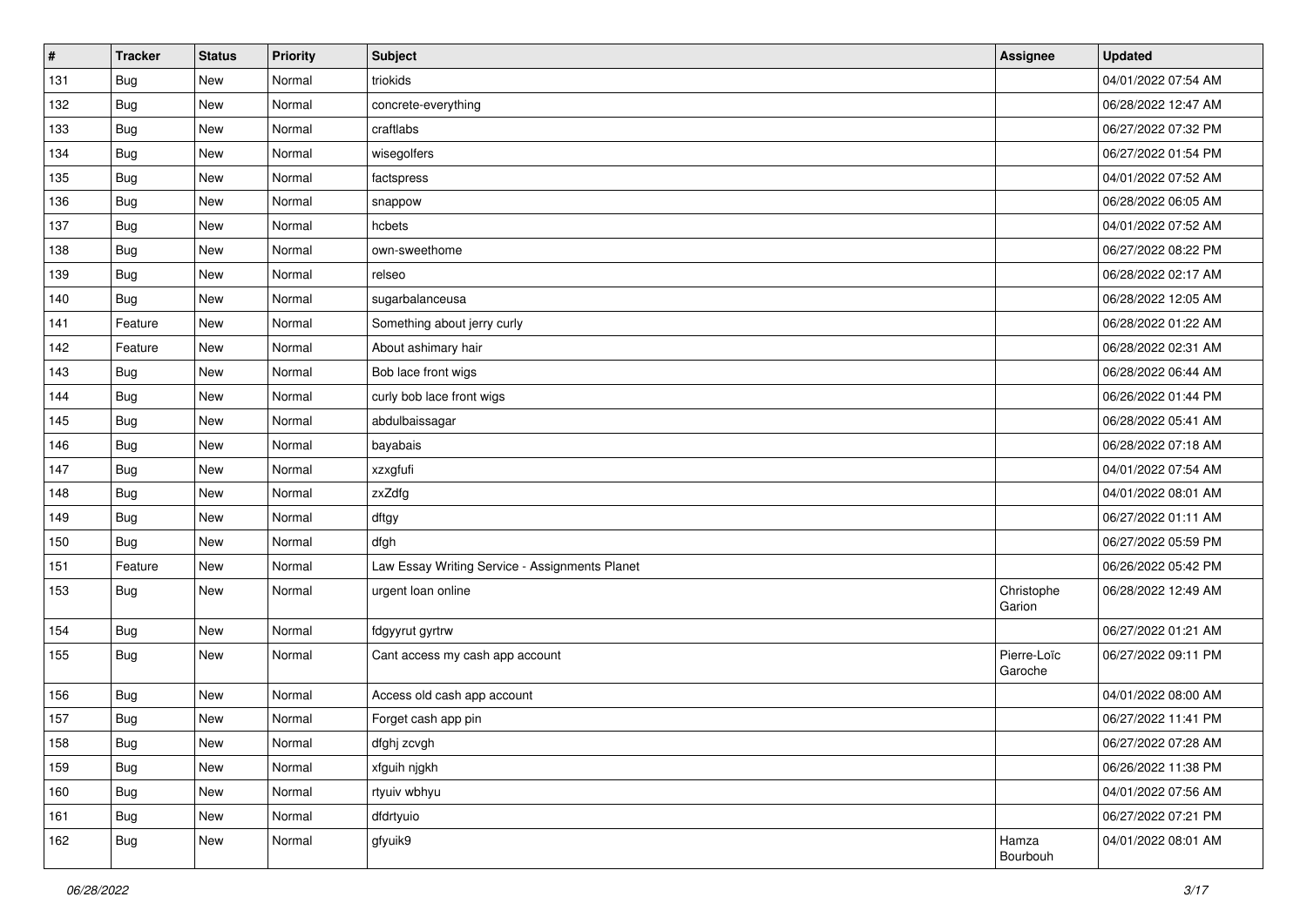| $\vert$ # | <b>Tracker</b> | <b>Status</b> | Priority | <b>Subject</b>                                 | <b>Assignee</b>        | <b>Updated</b>      |
|-----------|----------------|---------------|----------|------------------------------------------------|------------------------|---------------------|
| 131       | Bug            | New           | Normal   | triokids                                       |                        | 04/01/2022 07:54 AM |
| 132       | Bug            | <b>New</b>    | Normal   | concrete-everything                            |                        | 06/28/2022 12:47 AM |
| 133       | Bug            | New           | Normal   | craftlabs                                      |                        | 06/27/2022 07:32 PM |
| 134       | <b>Bug</b>     | <b>New</b>    | Normal   | wisegolfers                                    |                        | 06/27/2022 01:54 PM |
| 135       | <b>Bug</b>     | New           | Normal   | factspress                                     |                        | 04/01/2022 07:52 AM |
| 136       | Bug            | New           | Normal   | snappow                                        |                        | 06/28/2022 06:05 AM |
| 137       | Bug            | <b>New</b>    | Normal   | hcbets                                         |                        | 04/01/2022 07:52 AM |
| 138       | Bug            | New           | Normal   | own-sweethome                                  |                        | 06/27/2022 08:22 PM |
| 139       | Bug            | New           | Normal   | relseo                                         |                        | 06/28/2022 02:17 AM |
| 140       | <b>Bug</b>     | New           | Normal   | sugarbalanceusa                                |                        | 06/28/2022 12:05 AM |
| 141       | Feature        | New           | Normal   | Something about jerry curly                    |                        | 06/28/2022 01:22 AM |
| 142       | Feature        | New           | Normal   | About ashimary hair                            |                        | 06/28/2022 02:31 AM |
| 143       | <b>Bug</b>     | New           | Normal   | Bob lace front wigs                            |                        | 06/28/2022 06:44 AM |
| 144       | <b>Bug</b>     | <b>New</b>    | Normal   | curly bob lace front wigs                      |                        | 06/26/2022 01:44 PM |
| 145       | Bug            | <b>New</b>    | Normal   | abdulbaissagar                                 |                        | 06/28/2022 05:41 AM |
| 146       | Bug            | New           | Normal   | bayabais                                       |                        | 06/28/2022 07:18 AM |
| 147       | Bug            | <b>New</b>    | Normal   | xzxgfufi                                       |                        | 04/01/2022 07:54 AM |
| 148       | Bug            | New           | Normal   | zxZdfg                                         |                        | 04/01/2022 08:01 AM |
| 149       | <b>Bug</b>     | New           | Normal   | dftgy                                          |                        | 06/27/2022 01:11 AM |
| 150       | Bug            | <b>New</b>    | Normal   | dfgh                                           |                        | 06/27/2022 05:59 PM |
| 151       | Feature        | New           | Normal   | Law Essay Writing Service - Assignments Planet |                        | 06/26/2022 05:42 PM |
| 153       | Bug            | New           | Normal   | urgent loan online                             | Christophe<br>Garion   | 06/28/2022 12:49 AM |
| 154       | Bug            | New           | Normal   | fdgyyrut gyrtrw                                |                        | 06/27/2022 01:21 AM |
| 155       | Bug            | New           | Normal   | Cant access my cash app account                | Pierre-Loïc<br>Garoche | 06/27/2022 09:11 PM |
| 156       | Bug            | New           | Normal   | Access old cash app account                    |                        | 04/01/2022 08:00 AM |
| 157       | Bug            | New           | Normal   | Forget cash app pin                            |                        | 06/27/2022 11:41 PM |
| 158       | Bug            | New           | Normal   | dfghj zcvgh                                    |                        | 06/27/2022 07:28 AM |
| 159       | <b>Bug</b>     | New           | Normal   | xfguih njgkh                                   |                        | 06/26/2022 11:38 PM |
| 160       | <b>Bug</b>     | New           | Normal   | rtyuiv wbhyu                                   |                        | 04/01/2022 07:56 AM |
| 161       | <b>Bug</b>     | New           | Normal   | dfdrtyuio                                      |                        | 06/27/2022 07:21 PM |
| 162       | Bug            | New           | Normal   | gfyuik9                                        | Hamza<br>Bourbouh      | 04/01/2022 08:01 AM |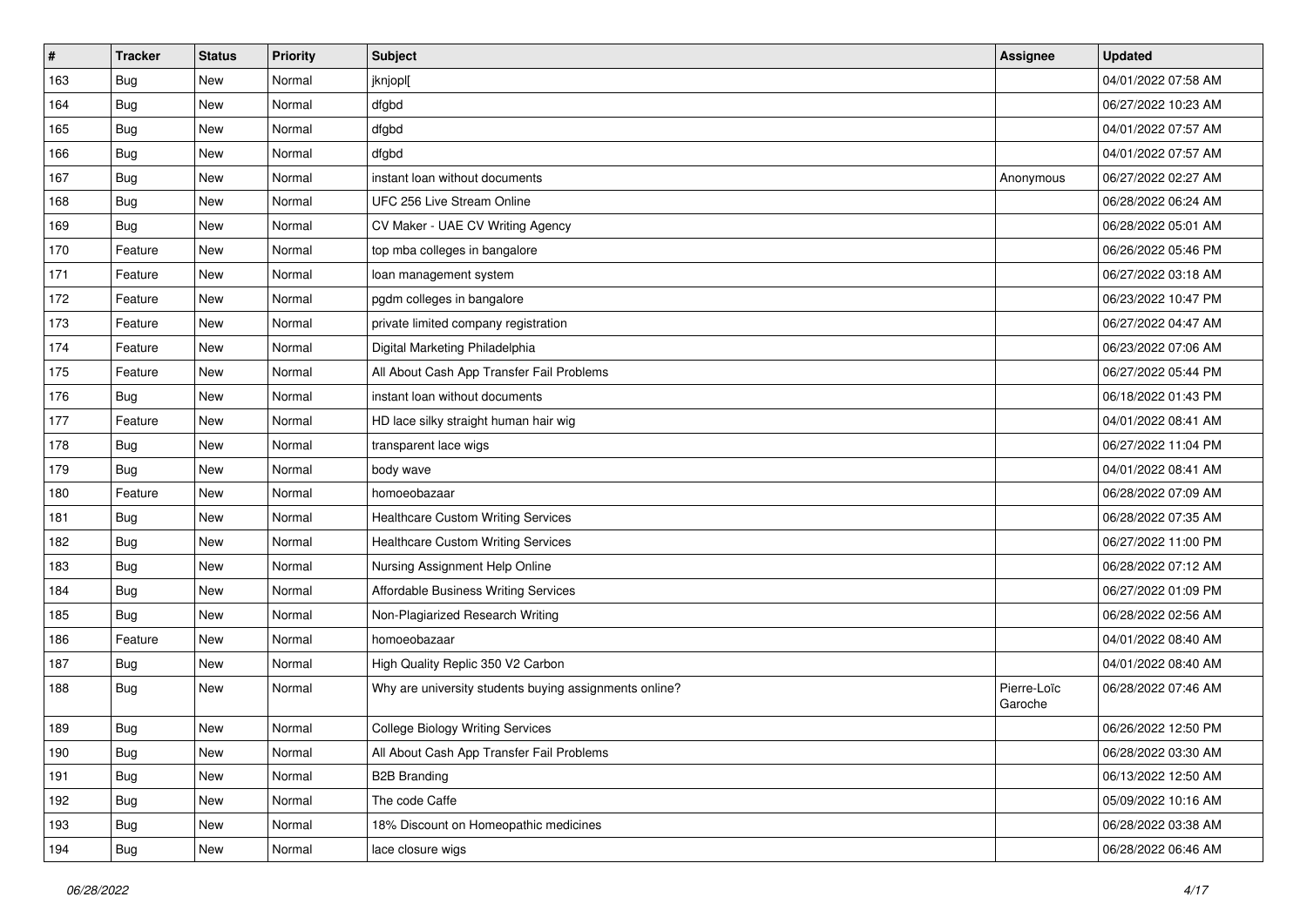| $\vert$ # | <b>Tracker</b> | <b>Status</b> | Priority | <b>Subject</b>                                         | <b>Assignee</b>        | <b>Updated</b>      |
|-----------|----------------|---------------|----------|--------------------------------------------------------|------------------------|---------------------|
| 163       | <b>Bug</b>     | New           | Normal   | jknjopl[                                               |                        | 04/01/2022 07:58 AM |
| 164       | Bug            | <b>New</b>    | Normal   | dfgbd                                                  |                        | 06/27/2022 10:23 AM |
| 165       | Bug            | New           | Normal   | dfgbd                                                  |                        | 04/01/2022 07:57 AM |
| 166       | <b>Bug</b>     | <b>New</b>    | Normal   | dfgbd                                                  |                        | 04/01/2022 07:57 AM |
| 167       | Bug            | <b>New</b>    | Normal   | instant loan without documents                         | Anonymous              | 06/27/2022 02:27 AM |
| 168       | Bug            | <b>New</b>    | Normal   | UFC 256 Live Stream Online                             |                        | 06/28/2022 06:24 AM |
| 169       | Bug            | <b>New</b>    | Normal   | CV Maker - UAE CV Writing Agency                       |                        | 06/28/2022 05:01 AM |
| 170       | Feature        | New           | Normal   | top mba colleges in bangalore                          |                        | 06/26/2022 05:46 PM |
| 171       | Feature        | <b>New</b>    | Normal   | loan management system                                 |                        | 06/27/2022 03:18 AM |
| 172       | Feature        | <b>New</b>    | Normal   | pgdm colleges in bangalore                             |                        | 06/23/2022 10:47 PM |
| 173       | Feature        | New           | Normal   | private limited company registration                   |                        | 06/27/2022 04:47 AM |
| 174       | Feature        | <b>New</b>    | Normal   | Digital Marketing Philadelphia                         |                        | 06/23/2022 07:06 AM |
| 175       | Feature        | <b>New</b>    | Normal   | All About Cash App Transfer Fail Problems              |                        | 06/27/2022 05:44 PM |
| 176       | Bug            | New           | Normal   | instant loan without documents                         |                        | 06/18/2022 01:43 PM |
| 177       | Feature        | <b>New</b>    | Normal   | HD lace silky straight human hair wig                  |                        | 04/01/2022 08:41 AM |
| 178       | Bug            | New           | Normal   | transparent lace wigs                                  |                        | 06/27/2022 11:04 PM |
| 179       | Bug            | <b>New</b>    | Normal   | body wave                                              |                        | 04/01/2022 08:41 AM |
| 180       | Feature        | New           | Normal   | homoeobazaar                                           |                        | 06/28/2022 07:09 AM |
| 181       | <b>Bug</b>     | New           | Normal   | <b>Healthcare Custom Writing Services</b>              |                        | 06/28/2022 07:35 AM |
| 182       | Bug            | <b>New</b>    | Normal   | <b>Healthcare Custom Writing Services</b>              |                        | 06/27/2022 11:00 PM |
| 183       | <b>Bug</b>     | <b>New</b>    | Normal   | Nursing Assignment Help Online                         |                        | 06/28/2022 07:12 AM |
| 184       | <b>Bug</b>     | <b>New</b>    | Normal   | Affordable Business Writing Services                   |                        | 06/27/2022 01:09 PM |
| 185       | Bug            | New           | Normal   | Non-Plagiarized Research Writing                       |                        | 06/28/2022 02:56 AM |
| 186       | Feature        | New           | Normal   | homoeobazaar                                           |                        | 04/01/2022 08:40 AM |
| 187       | Bug            | New           | Normal   | High Quality Replic 350 V2 Carbon                      |                        | 04/01/2022 08:40 AM |
| 188       | Bug            | <b>New</b>    | Normal   | Why are university students buying assignments online? | Pierre-Loïc<br>Garoche | 06/28/2022 07:46 AM |
| 189       | Bug            | <b>New</b>    | Normal   | <b>College Biology Writing Services</b>                |                        | 06/26/2022 12:50 PM |
| 190       | <b>Bug</b>     | New           | Normal   | All About Cash App Transfer Fail Problems              |                        | 06/28/2022 03:30 AM |
| 191       | <b>Bug</b>     | New           | Normal   | <b>B2B Branding</b>                                    |                        | 06/13/2022 12:50 AM |
| 192       | <b>Bug</b>     | New           | Normal   | The code Caffe                                         |                        | 05/09/2022 10:16 AM |
| 193       | Bug            | New           | Normal   | 18% Discount on Homeopathic medicines                  |                        | 06/28/2022 03:38 AM |
| 194       | <b>Bug</b>     | New           | Normal   | lace closure wigs                                      |                        | 06/28/2022 06:46 AM |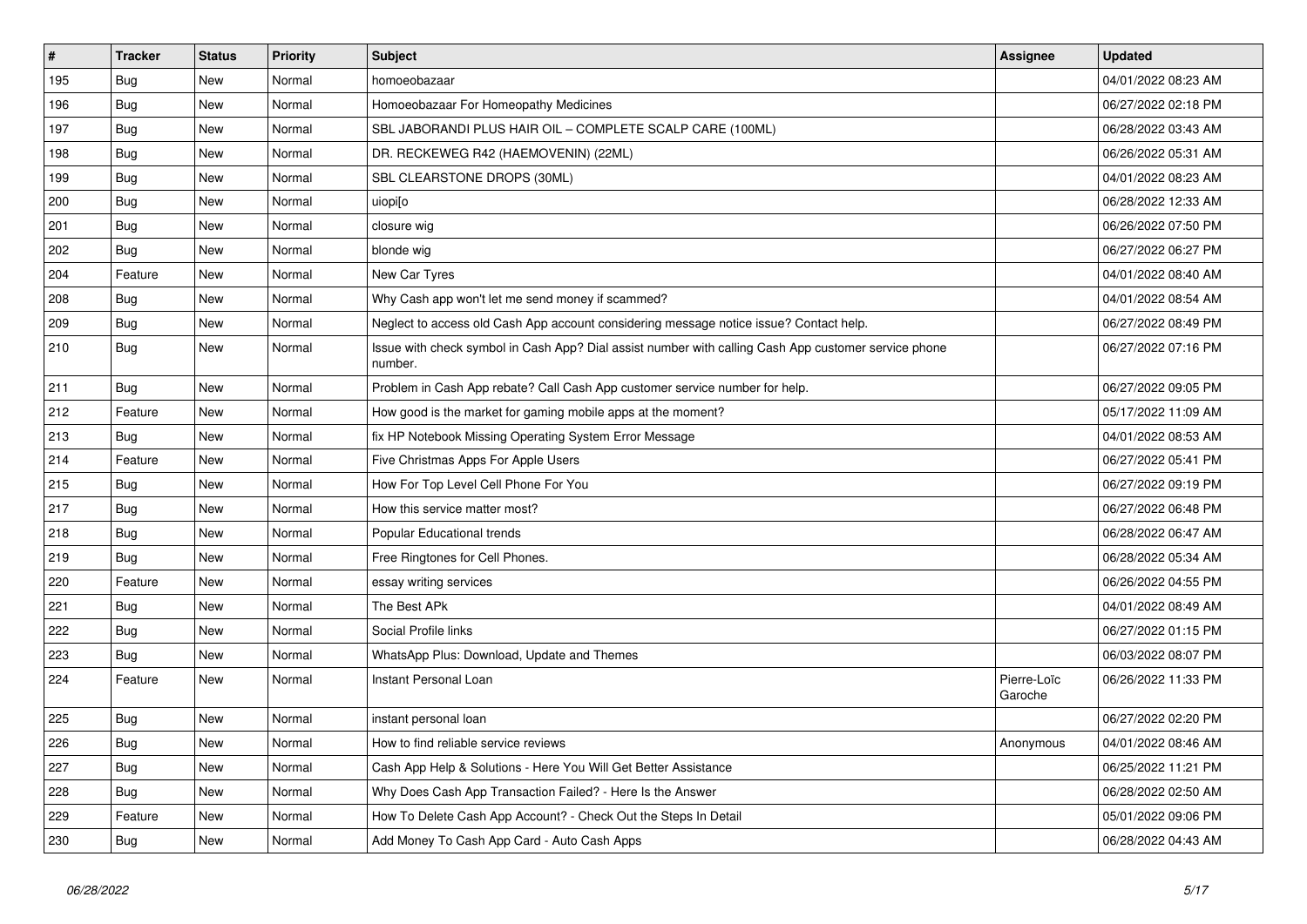| $\vert$ # | <b>Tracker</b> | <b>Status</b> | Priority | <b>Subject</b>                                                                                                  | <b>Assignee</b>        | <b>Updated</b>      |
|-----------|----------------|---------------|----------|-----------------------------------------------------------------------------------------------------------------|------------------------|---------------------|
| 195       | <b>Bug</b>     | New           | Normal   | homoeobazaar                                                                                                    |                        | 04/01/2022 08:23 AM |
| 196       | <b>Bug</b>     | <b>New</b>    | Normal   | Homoeobazaar For Homeopathy Medicines                                                                           |                        | 06/27/2022 02:18 PM |
| 197       | Bug            | New           | Normal   | SBL JABORANDI PLUS HAIR OIL - COMPLETE SCALP CARE (100ML)                                                       |                        | 06/28/2022 03:43 AM |
| 198       | Bug            | <b>New</b>    | Normal   | DR. RECKEWEG R42 (HAEMOVENIN) (22ML)                                                                            |                        | 06/26/2022 05:31 AM |
| 199       | Bug            | <b>New</b>    | Normal   | SBL CLEARSTONE DROPS (30ML)                                                                                     |                        | 04/01/2022 08:23 AM |
| 200       | Bug            | <b>New</b>    | Normal   | uiopilo                                                                                                         |                        | 06/28/2022 12:33 AM |
| 201       | Bug            | New           | Normal   | closure wig                                                                                                     |                        | 06/26/2022 07:50 PM |
| 202       | Bug            | <b>New</b>    | Normal   | blonde wig                                                                                                      |                        | 06/27/2022 06:27 PM |
| 204       | Feature        | <b>New</b>    | Normal   | New Car Tyres                                                                                                   |                        | 04/01/2022 08:40 AM |
| 208       | Bug            | <b>New</b>    | Normal   | Why Cash app won't let me send money if scammed?                                                                |                        | 04/01/2022 08:54 AM |
| 209       | Bug            | New           | Normal   | Neglect to access old Cash App account considering message notice issue? Contact help.                          |                        | 06/27/2022 08:49 PM |
| 210       | <b>Bug</b>     | New           | Normal   | Issue with check symbol in Cash App? Dial assist number with calling Cash App customer service phone<br>number. |                        | 06/27/2022 07:16 PM |
| 211       | Bug            | <b>New</b>    | Normal   | Problem in Cash App rebate? Call Cash App customer service number for help.                                     |                        | 06/27/2022 09:05 PM |
| 212       | Feature        | <b>New</b>    | Normal   | How good is the market for gaming mobile apps at the moment?                                                    |                        | 05/17/2022 11:09 AM |
| 213       | Bug            | <b>New</b>    | Normal   | fix HP Notebook Missing Operating System Error Message                                                          |                        | 04/01/2022 08:53 AM |
| 214       | Feature        | <b>New</b>    | Normal   | Five Christmas Apps For Apple Users                                                                             |                        | 06/27/2022 05:41 PM |
| 215       | Bug            | <b>New</b>    | Normal   | How For Top Level Cell Phone For You                                                                            |                        | 06/27/2022 09:19 PM |
| 217       | Bug            | New           | Normal   | How this service matter most?                                                                                   |                        | 06/27/2022 06:48 PM |
| 218       | Bug            | <b>New</b>    | Normal   | Popular Educational trends                                                                                      |                        | 06/28/2022 06:47 AM |
| 219       | Bug            | <b>New</b>    | Normal   | Free Ringtones for Cell Phones.                                                                                 |                        | 06/28/2022 05:34 AM |
| 220       | Feature        | <b>New</b>    | Normal   | essay writing services                                                                                          |                        | 06/26/2022 04:55 PM |
| 221       | Bug            | New           | Normal   | The Best APk                                                                                                    |                        | 04/01/2022 08:49 AM |
| 222       | <b>Bug</b>     | <b>New</b>    | Normal   | Social Profile links                                                                                            |                        | 06/27/2022 01:15 PM |
| 223       | <b>Bug</b>     | <b>New</b>    | Normal   | WhatsApp Plus: Download, Update and Themes                                                                      |                        | 06/03/2022 08:07 PM |
| 224       | Feature        | <b>New</b>    | Normal   | Instant Personal Loan                                                                                           | Pierre-Loïc<br>Garoche | 06/26/2022 11:33 PM |
| 225       | Bug            | New           | Normal   | instant personal loan                                                                                           |                        | 06/27/2022 02:20 PM |
| 226       | Bug            | <b>New</b>    | Normal   | How to find reliable service reviews                                                                            | Anonymous              | 04/01/2022 08:46 AM |
| 227       | Bug            | <b>New</b>    | Normal   | Cash App Help & Solutions - Here You Will Get Better Assistance                                                 |                        | 06/25/2022 11:21 PM |
| 228       | Bug            | <b>New</b>    | Normal   | Why Does Cash App Transaction Failed? - Here Is the Answer                                                      |                        | 06/28/2022 02:50 AM |
| 229       | Feature        | New           | Normal   | How To Delete Cash App Account? - Check Out the Steps In Detail                                                 |                        | 05/01/2022 09:06 PM |
| 230       | <b>Bug</b>     | <b>New</b>    | Normal   | Add Money To Cash App Card - Auto Cash Apps                                                                     |                        | 06/28/2022 04:43 AM |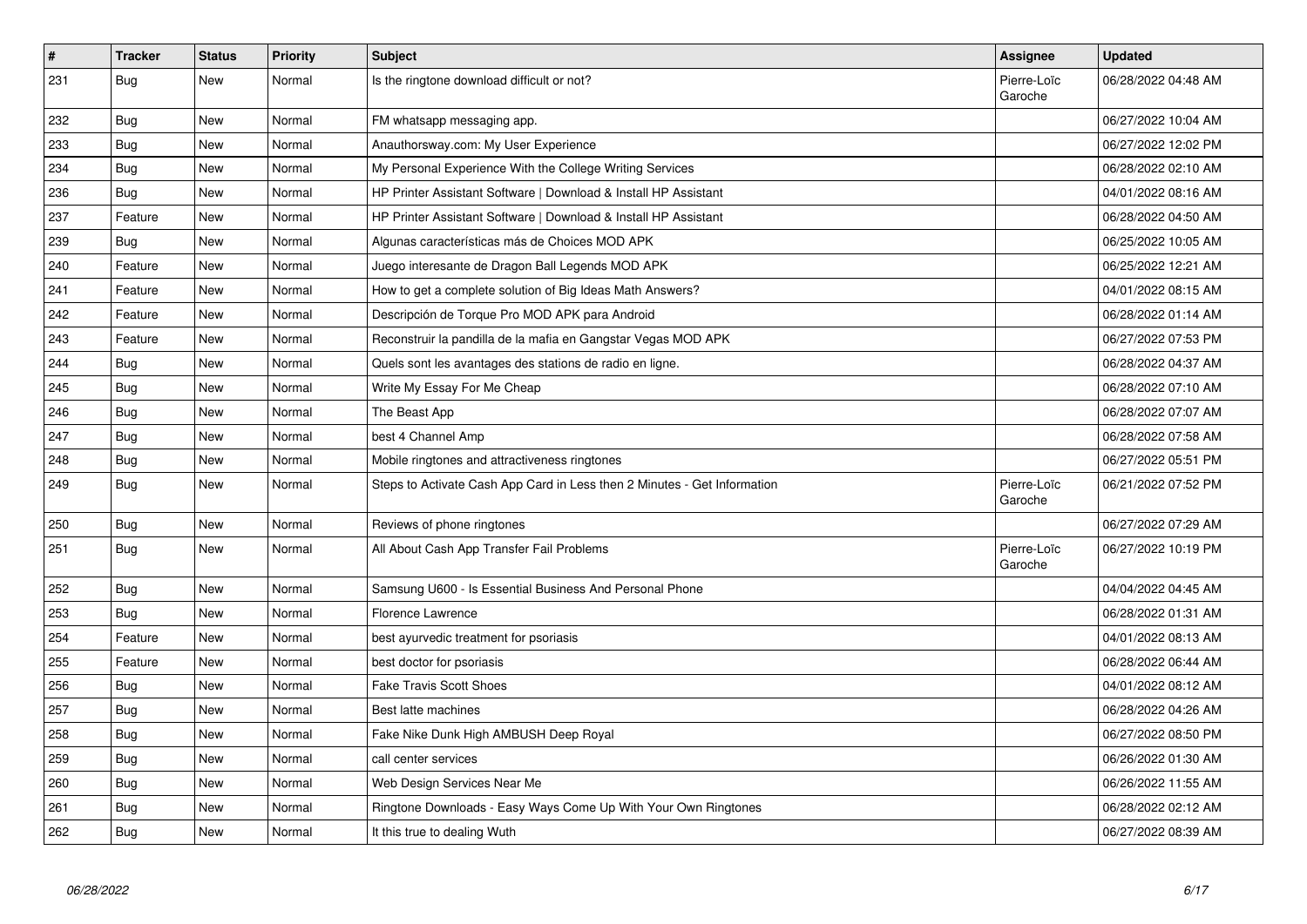| $\vert$ # | <b>Tracker</b> | <b>Status</b> | <b>Priority</b> | <b>Subject</b>                                                           | Assignee               | <b>Updated</b>      |
|-----------|----------------|---------------|-----------------|--------------------------------------------------------------------------|------------------------|---------------------|
| 231       | <b>Bug</b>     | New           | Normal          | Is the ringtone download difficult or not?                               | Pierre-Loïc<br>Garoche | 06/28/2022 04:48 AM |
| 232       | Bug            | New           | Normal          | FM whatsapp messaging app.                                               |                        | 06/27/2022 10:04 AM |
| 233       | Bug            | New           | Normal          | Anauthorsway.com: My User Experience                                     |                        | 06/27/2022 12:02 PM |
| 234       | <b>Bug</b>     | <b>New</b>    | Normal          | My Personal Experience With the College Writing Services                 |                        | 06/28/2022 02:10 AM |
| 236       | Bug            | New           | Normal          | HP Printer Assistant Software   Download & Install HP Assistant          |                        | 04/01/2022 08:16 AM |
| 237       | Feature        | <b>New</b>    | Normal          | HP Printer Assistant Software   Download & Install HP Assistant          |                        | 06/28/2022 04:50 AM |
| 239       | <b>Bug</b>     | New           | Normal          | Algunas características más de Choices MOD APK                           |                        | 06/25/2022 10:05 AM |
| 240       | Feature        | <b>New</b>    | Normal          | Juego interesante de Dragon Ball Legends MOD APK                         |                        | 06/25/2022 12:21 AM |
| 241       | Feature        | <b>New</b>    | Normal          | How to get a complete solution of Big Ideas Math Answers?                |                        | 04/01/2022 08:15 AM |
| 242       | Feature        | <b>New</b>    | Normal          | Descripción de Torque Pro MOD APK para Android                           |                        | 06/28/2022 01:14 AM |
| 243       | Feature        | <b>New</b>    | Normal          | Reconstruir la pandilla de la mafia en Gangstar Vegas MOD APK            |                        | 06/27/2022 07:53 PM |
| 244       | <b>Bug</b>     | <b>New</b>    | Normal          | Quels sont les avantages des stations de radio en ligne.                 |                        | 06/28/2022 04:37 AM |
| 245       | Bug            | New           | Normal          | Write My Essay For Me Cheap                                              |                        | 06/28/2022 07:10 AM |
| 246       | <b>Bug</b>     | <b>New</b>    | Normal          | The Beast App                                                            |                        | 06/28/2022 07:07 AM |
| 247       | Bug            | <b>New</b>    | Normal          | best 4 Channel Amp                                                       |                        | 06/28/2022 07:58 AM |
| 248       | <b>Bug</b>     | <b>New</b>    | Normal          | Mobile ringtones and attractiveness ringtones                            |                        | 06/27/2022 05:51 PM |
| 249       | <b>Bug</b>     | <b>New</b>    | Normal          | Steps to Activate Cash App Card in Less then 2 Minutes - Get Information | Pierre-Loïc<br>Garoche | 06/21/2022 07:52 PM |
| 250       | Bug            | <b>New</b>    | Normal          | Reviews of phone ringtones                                               |                        | 06/27/2022 07:29 AM |
| 251       | <b>Bug</b>     | <b>New</b>    | Normal          | All About Cash App Transfer Fail Problems                                | Pierre-Loïc<br>Garoche | 06/27/2022 10:19 PM |
| 252       | <b>Bug</b>     | <b>New</b>    | Normal          | Samsung U600 - Is Essential Business And Personal Phone                  |                        | 04/04/2022 04:45 AM |
| 253       | <b>Bug</b>     | <b>New</b>    | Normal          | <b>Florence Lawrence</b>                                                 |                        | 06/28/2022 01:31 AM |
| 254       | Feature        | <b>New</b>    | Normal          | best ayurvedic treatment for psoriasis                                   |                        | 04/01/2022 08:13 AM |
| 255       | Feature        | <b>New</b>    | Normal          | best doctor for psoriasis                                                |                        | 06/28/2022 06:44 AM |
| 256       | Bug            | New           | Normal          | <b>Fake Travis Scott Shoes</b>                                           |                        | 04/01/2022 08:12 AM |
| 257       | Bug            | New           | Normal          | Best latte machines                                                      |                        | 06/28/2022 04:26 AM |
| 258       | <b>Bug</b>     | <b>New</b>    | Normal          | Fake Nike Dunk High AMBUSH Deep Royal                                    |                        | 06/27/2022 08:50 PM |
| 259       | Bug            | <b>New</b>    | Normal          | call center services                                                     |                        | 06/26/2022 01:30 AM |
| 260       | <b>Bug</b>     | <b>New</b>    | Normal          | Web Design Services Near Me                                              |                        | 06/26/2022 11:55 AM |
| 261       | Bug            | New           | Normal          | Ringtone Downloads - Easy Ways Come Up With Your Own Ringtones           |                        | 06/28/2022 02:12 AM |
| 262       | Bug            | <b>New</b>    | Normal          | It this true to dealing Wuth                                             |                        | 06/27/2022 08:39 AM |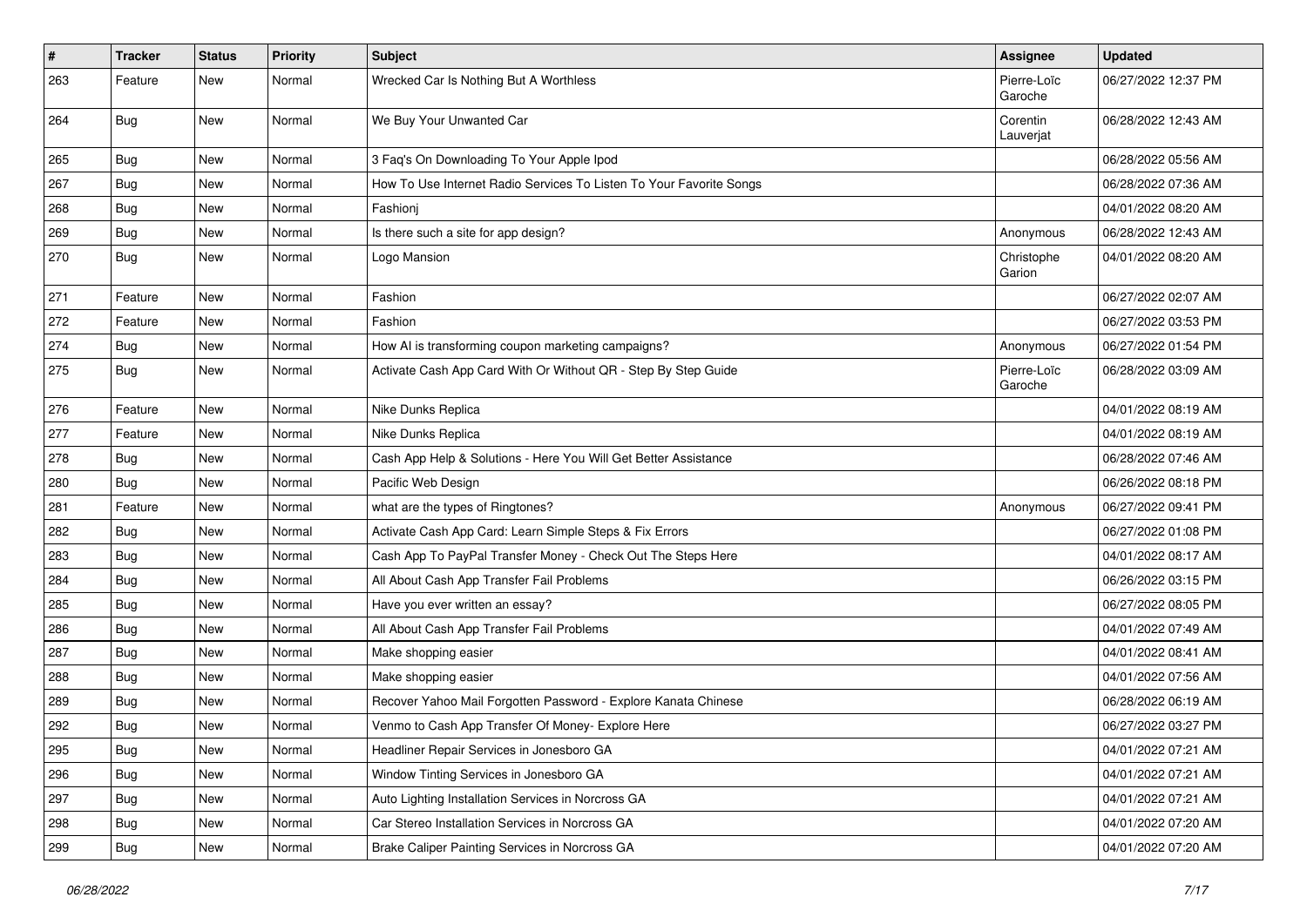| $\vert$ # | <b>Tracker</b> | <b>Status</b> | <b>Priority</b> | <b>Subject</b>                                                      | <b>Assignee</b>        | <b>Updated</b>      |
|-----------|----------------|---------------|-----------------|---------------------------------------------------------------------|------------------------|---------------------|
| 263       | Feature        | <b>New</b>    | Normal          | Wrecked Car Is Nothing But A Worthless                              | Pierre-Loïc<br>Garoche | 06/27/2022 12:37 PM |
| 264       | Bug            | <b>New</b>    | Normal          | We Buy Your Unwanted Car                                            | Corentin<br>Lauverjat  | 06/28/2022 12:43 AM |
| 265       | <b>Bug</b>     | <b>New</b>    | Normal          | 3 Faq's On Downloading To Your Apple Ipod                           |                        | 06/28/2022 05:56 AM |
| 267       | <b>Bug</b>     | <b>New</b>    | Normal          | How To Use Internet Radio Services To Listen To Your Favorite Songs |                        | 06/28/2022 07:36 AM |
| 268       | <b>Bug</b>     | <b>New</b>    | Normal          | Fashionj                                                            |                        | 04/01/2022 08:20 AM |
| 269       | <b>Bug</b>     | <b>New</b>    | Normal          | Is there such a site for app design?                                | Anonymous              | 06/28/2022 12:43 AM |
| 270       | Bug            | <b>New</b>    | Normal          | Logo Mansion                                                        | Christophe<br>Garion   | 04/01/2022 08:20 AM |
| 271       | Feature        | New           | Normal          | Fashion                                                             |                        | 06/27/2022 02:07 AM |
| 272       | Feature        | <b>New</b>    | Normal          | Fashion                                                             |                        | 06/27/2022 03:53 PM |
| 274       | <b>Bug</b>     | <b>New</b>    | Normal          | How AI is transforming coupon marketing campaigns?                  | Anonymous              | 06/27/2022 01:54 PM |
| 275       | <b>Bug</b>     | New           | Normal          | Activate Cash App Card With Or Without QR - Step By Step Guide      | Pierre-Loïc<br>Garoche | 06/28/2022 03:09 AM |
| 276       | Feature        | <b>New</b>    | Normal          | Nike Dunks Replica                                                  |                        | 04/01/2022 08:19 AM |
| 277       | Feature        | <b>New</b>    | Normal          | Nike Dunks Replica                                                  |                        | 04/01/2022 08:19 AM |
| 278       | <b>Bug</b>     | <b>New</b>    | Normal          | Cash App Help & Solutions - Here You Will Get Better Assistance     |                        | 06/28/2022 07:46 AM |
| 280       | <b>Bug</b>     | New           | Normal          | Pacific Web Design                                                  |                        | 06/26/2022 08:18 PM |
| 281       | Feature        | <b>New</b>    | Normal          | what are the types of Ringtones?                                    | Anonymous              | 06/27/2022 09:41 PM |
| 282       | <b>Bug</b>     | <b>New</b>    | Normal          | Activate Cash App Card: Learn Simple Steps & Fix Errors             |                        | 06/27/2022 01:08 PM |
| 283       | <b>Bug</b>     | <b>New</b>    | Normal          | Cash App To PayPal Transfer Money - Check Out The Steps Here        |                        | 04/01/2022 08:17 AM |
| 284       | <b>Bug</b>     | New           | Normal          | All About Cash App Transfer Fail Problems                           |                        | 06/26/2022 03:15 PM |
| 285       | <b>Bug</b>     | New           | Normal          | Have you ever written an essay?                                     |                        | 06/27/2022 08:05 PM |
| 286       | <b>Bug</b>     | <b>New</b>    | Normal          | All About Cash App Transfer Fail Problems                           |                        | 04/01/2022 07:49 AM |
| 287       | Bug            | <b>New</b>    | Normal          | Make shopping easier                                                |                        | 04/01/2022 08:41 AM |
| 288       | <b>Bug</b>     | <b>New</b>    | Normal          | Make shopping easier                                                |                        | 04/01/2022 07:56 AM |
| 289       | <b>Bug</b>     | <b>New</b>    | Normal          | Recover Yahoo Mail Forgotten Password - Explore Kanata Chinese      |                        | 06/28/2022 06:19 AM |
| 292       | <b>Bug</b>     | New           | Normal          | Venmo to Cash App Transfer Of Money- Explore Here                   |                        | 06/27/2022 03:27 PM |
| 295       | <b>Bug</b>     | New           | Normal          | Headliner Repair Services in Jonesboro GA                           |                        | 04/01/2022 07:21 AM |
| 296       | <b>Bug</b>     | New           | Normal          | Window Tinting Services in Jonesboro GA                             |                        | 04/01/2022 07:21 AM |
| 297       | <b>Bug</b>     | New           | Normal          | Auto Lighting Installation Services in Norcross GA                  |                        | 04/01/2022 07:21 AM |
| 298       | Bug            | New           | Normal          | Car Stereo Installation Services in Norcross GA                     |                        | 04/01/2022 07:20 AM |
| 299       | <b>Bug</b>     | New           | Normal          | Brake Caliper Painting Services in Norcross GA                      |                        | 04/01/2022 07:20 AM |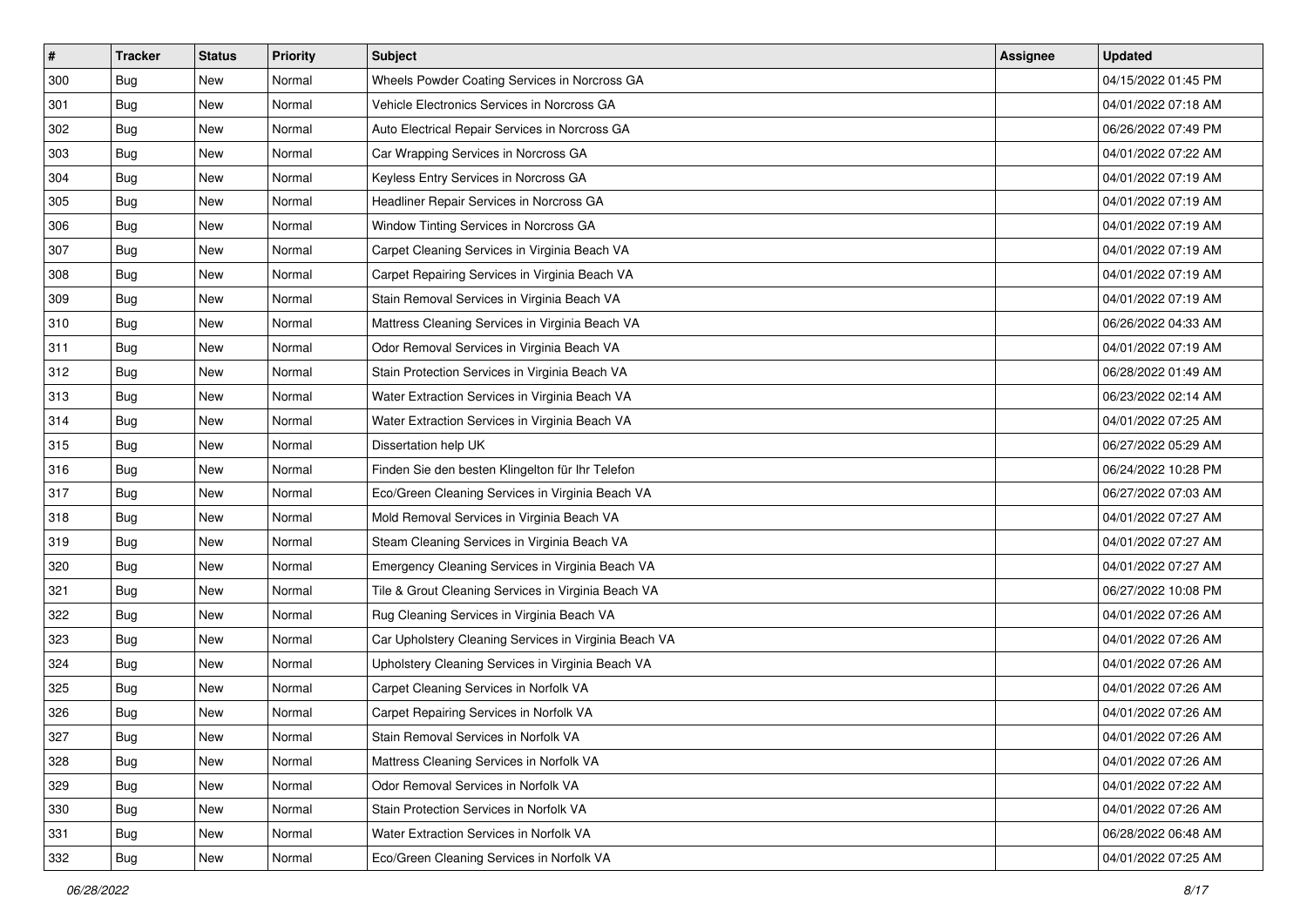| $\vert$ # | <b>Tracker</b> | <b>Status</b> | <b>Priority</b> | Subject                                               | <b>Assignee</b> | <b>Updated</b>      |
|-----------|----------------|---------------|-----------------|-------------------------------------------------------|-----------------|---------------------|
| 300       | Bug            | New           | Normal          | Wheels Powder Coating Services in Norcross GA         |                 | 04/15/2022 01:45 PM |
| 301       | Bug            | New           | Normal          | Vehicle Electronics Services in Norcross GA           |                 | 04/01/2022 07:18 AM |
| 302       | Bug            | New           | Normal          | Auto Electrical Repair Services in Norcross GA        |                 | 06/26/2022 07:49 PM |
| 303       | Bug            | New           | Normal          | Car Wrapping Services in Norcross GA                  |                 | 04/01/2022 07:22 AM |
| 304       | Bug            | New           | Normal          | Keyless Entry Services in Norcross GA                 |                 | 04/01/2022 07:19 AM |
| 305       | Bug            | New           | Normal          | Headliner Repair Services in Norcross GA              |                 | 04/01/2022 07:19 AM |
| 306       | Bug            | New           | Normal          | Window Tinting Services in Norcross GA                |                 | 04/01/2022 07:19 AM |
| 307       | Bug            | New           | Normal          | Carpet Cleaning Services in Virginia Beach VA         |                 | 04/01/2022 07:19 AM |
| 308       | Bug            | New           | Normal          | Carpet Repairing Services in Virginia Beach VA        |                 | 04/01/2022 07:19 AM |
| 309       | Bug            | New           | Normal          | Stain Removal Services in Virginia Beach VA           |                 | 04/01/2022 07:19 AM |
| 310       | Bug            | New           | Normal          | Mattress Cleaning Services in Virginia Beach VA       |                 | 06/26/2022 04:33 AM |
| 311       | Bug            | New           | Normal          | Odor Removal Services in Virginia Beach VA            |                 | 04/01/2022 07:19 AM |
| 312       | Bug            | New           | Normal          | Stain Protection Services in Virginia Beach VA        |                 | 06/28/2022 01:49 AM |
| 313       | Bug            | New           | Normal          | Water Extraction Services in Virginia Beach VA        |                 | 06/23/2022 02:14 AM |
| 314       | Bug            | New           | Normal          | Water Extraction Services in Virginia Beach VA        |                 | 04/01/2022 07:25 AM |
| 315       | Bug            | New           | Normal          | Dissertation help UK                                  |                 | 06/27/2022 05:29 AM |
| 316       | Bug            | New           | Normal          | Finden Sie den besten Klingelton für Ihr Telefon      |                 | 06/24/2022 10:28 PM |
| 317       | Bug            | New           | Normal          | Eco/Green Cleaning Services in Virginia Beach VA      |                 | 06/27/2022 07:03 AM |
| 318       | Bug            | New           | Normal          | Mold Removal Services in Virginia Beach VA            |                 | 04/01/2022 07:27 AM |
| 319       | Bug            | New           | Normal          | Steam Cleaning Services in Virginia Beach VA          |                 | 04/01/2022 07:27 AM |
| 320       | <b>Bug</b>     | New           | Normal          | Emergency Cleaning Services in Virginia Beach VA      |                 | 04/01/2022 07:27 AM |
| 321       | Bug            | New           | Normal          | Tile & Grout Cleaning Services in Virginia Beach VA   |                 | 06/27/2022 10:08 PM |
| 322       | Bug            | New           | Normal          | Rug Cleaning Services in Virginia Beach VA            |                 | 04/01/2022 07:26 AM |
| 323       | Bug            | New           | Normal          | Car Upholstery Cleaning Services in Virginia Beach VA |                 | 04/01/2022 07:26 AM |
| 324       | Bug            | New           | Normal          | Upholstery Cleaning Services in Virginia Beach VA     |                 | 04/01/2022 07:26 AM |
| 325       | Bug            | New           | Normal          | Carpet Cleaning Services in Norfolk VA                |                 | 04/01/2022 07:26 AM |
| 326       | Bug            | New           | Normal          | Carpet Repairing Services in Norfolk VA               |                 | 04/01/2022 07:26 AM |
| 327       | <b>Bug</b>     | New           | Normal          | Stain Removal Services in Norfolk VA                  |                 | 04/01/2022 07:26 AM |
| 328       | Bug            | New           | Normal          | Mattress Cleaning Services in Norfolk VA              |                 | 04/01/2022 07:26 AM |
| 329       | Bug            | New           | Normal          | Odor Removal Services in Norfolk VA                   |                 | 04/01/2022 07:22 AM |
| 330       | Bug            | New           | Normal          | Stain Protection Services in Norfolk VA               |                 | 04/01/2022 07:26 AM |
| 331       | Bug            | New           | Normal          | Water Extraction Services in Norfolk VA               |                 | 06/28/2022 06:48 AM |
| 332       | <b>Bug</b>     | New           | Normal          | Eco/Green Cleaning Services in Norfolk VA             |                 | 04/01/2022 07:25 AM |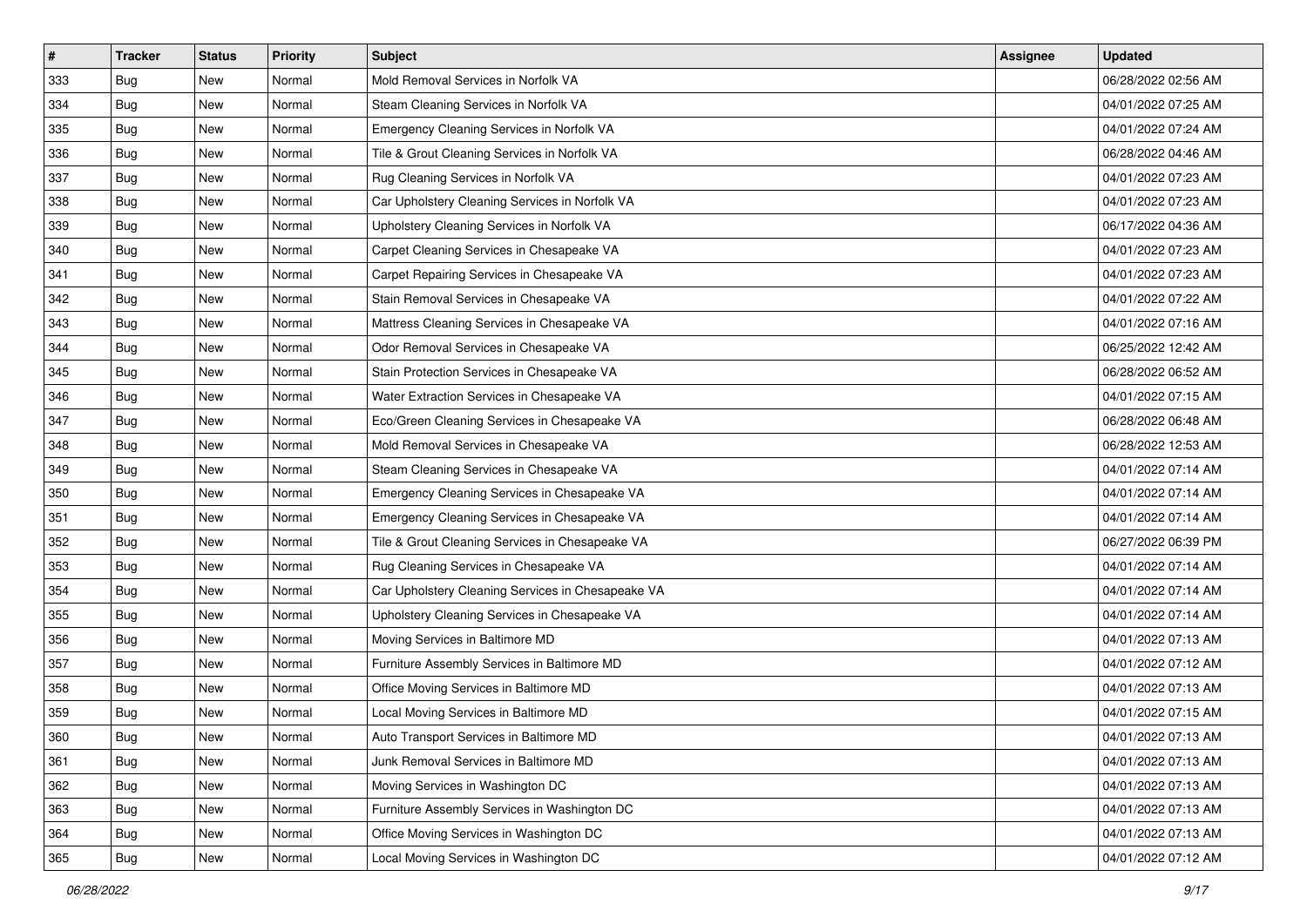| $\sharp$ | <b>Tracker</b> | <b>Status</b> | <b>Priority</b> | <b>Subject</b>                                    | <b>Assignee</b> | <b>Updated</b>      |
|----------|----------------|---------------|-----------------|---------------------------------------------------|-----------------|---------------------|
| 333      | <b>Bug</b>     | New           | Normal          | Mold Removal Services in Norfolk VA               |                 | 06/28/2022 02:56 AM |
| 334      | Bug            | New           | Normal          | Steam Cleaning Services in Norfolk VA             |                 | 04/01/2022 07:25 AM |
| 335      | <b>Bug</b>     | New           | Normal          | Emergency Cleaning Services in Norfolk VA         |                 | 04/01/2022 07:24 AM |
| 336      | <b>Bug</b>     | New           | Normal          | Tile & Grout Cleaning Services in Norfolk VA      |                 | 06/28/2022 04:46 AM |
| 337      | Bug            | New           | Normal          | Rug Cleaning Services in Norfolk VA               |                 | 04/01/2022 07:23 AM |
| 338      | <b>Bug</b>     | New           | Normal          | Car Upholstery Cleaning Services in Norfolk VA    |                 | 04/01/2022 07:23 AM |
| 339      | Bug            | New           | Normal          | Upholstery Cleaning Services in Norfolk VA        |                 | 06/17/2022 04:36 AM |
| 340      | Bug            | New           | Normal          | Carpet Cleaning Services in Chesapeake VA         |                 | 04/01/2022 07:23 AM |
| 341      | <b>Bug</b>     | New           | Normal          | Carpet Repairing Services in Chesapeake VA        |                 | 04/01/2022 07:23 AM |
| 342      | Bug            | New           | Normal          | Stain Removal Services in Chesapeake VA           |                 | 04/01/2022 07:22 AM |
| 343      | Bug            | New           | Normal          | Mattress Cleaning Services in Chesapeake VA       |                 | 04/01/2022 07:16 AM |
| 344      | Bug            | New           | Normal          | Odor Removal Services in Chesapeake VA            |                 | 06/25/2022 12:42 AM |
| 345      | <b>Bug</b>     | New           | Normal          | Stain Protection Services in Chesapeake VA        |                 | 06/28/2022 06:52 AM |
| 346      | Bug            | New           | Normal          | Water Extraction Services in Chesapeake VA        |                 | 04/01/2022 07:15 AM |
| 347      | Bug            | New           | Normal          | Eco/Green Cleaning Services in Chesapeake VA      |                 | 06/28/2022 06:48 AM |
| 348      | <b>Bug</b>     | New           | Normal          | Mold Removal Services in Chesapeake VA            |                 | 06/28/2022 12:53 AM |
| 349      | <b>Bug</b>     | New           | Normal          | Steam Cleaning Services in Chesapeake VA          |                 | 04/01/2022 07:14 AM |
| 350      | Bug            | <b>New</b>    | Normal          | Emergency Cleaning Services in Chesapeake VA      |                 | 04/01/2022 07:14 AM |
| 351      | <b>Bug</b>     | New           | Normal          | Emergency Cleaning Services in Chesapeake VA      |                 | 04/01/2022 07:14 AM |
| 352      | Bug            | New           | Normal          | Tile & Grout Cleaning Services in Chesapeake VA   |                 | 06/27/2022 06:39 PM |
| 353      | Bug            | New           | Normal          | Rug Cleaning Services in Chesapeake VA            |                 | 04/01/2022 07:14 AM |
| 354      | <b>Bug</b>     | New           | Normal          | Car Upholstery Cleaning Services in Chesapeake VA |                 | 04/01/2022 07:14 AM |
| 355      | Bug            | <b>New</b>    | Normal          | Upholstery Cleaning Services in Chesapeake VA     |                 | 04/01/2022 07:14 AM |
| 356      | Bug            | New           | Normal          | Moving Services in Baltimore MD                   |                 | 04/01/2022 07:13 AM |
| 357      | Bug            | New           | Normal          | Furniture Assembly Services in Baltimore MD       |                 | 04/01/2022 07:12 AM |
| 358      | <b>Bug</b>     | New           | Normal          | Office Moving Services in Baltimore MD            |                 | 04/01/2022 07:13 AM |
| 359      | Bug            | New           | Normal          | Local Moving Services in Baltimore MD             |                 | 04/01/2022 07:15 AM |
| 360      | Bug            | New           | Normal          | Auto Transport Services in Baltimore MD           |                 | 04/01/2022 07:13 AM |
| 361      | Bug            | New           | Normal          | Junk Removal Services in Baltimore MD             |                 | 04/01/2022 07:13 AM |
| 362      | Bug            | New           | Normal          | Moving Services in Washington DC                  |                 | 04/01/2022 07:13 AM |
| 363      | Bug            | New           | Normal          | Furniture Assembly Services in Washington DC      |                 | 04/01/2022 07:13 AM |
| 364      | Bug            | New           | Normal          | Office Moving Services in Washington DC           |                 | 04/01/2022 07:13 AM |
| 365      | <b>Bug</b>     | New           | Normal          | Local Moving Services in Washington DC            |                 | 04/01/2022 07:12 AM |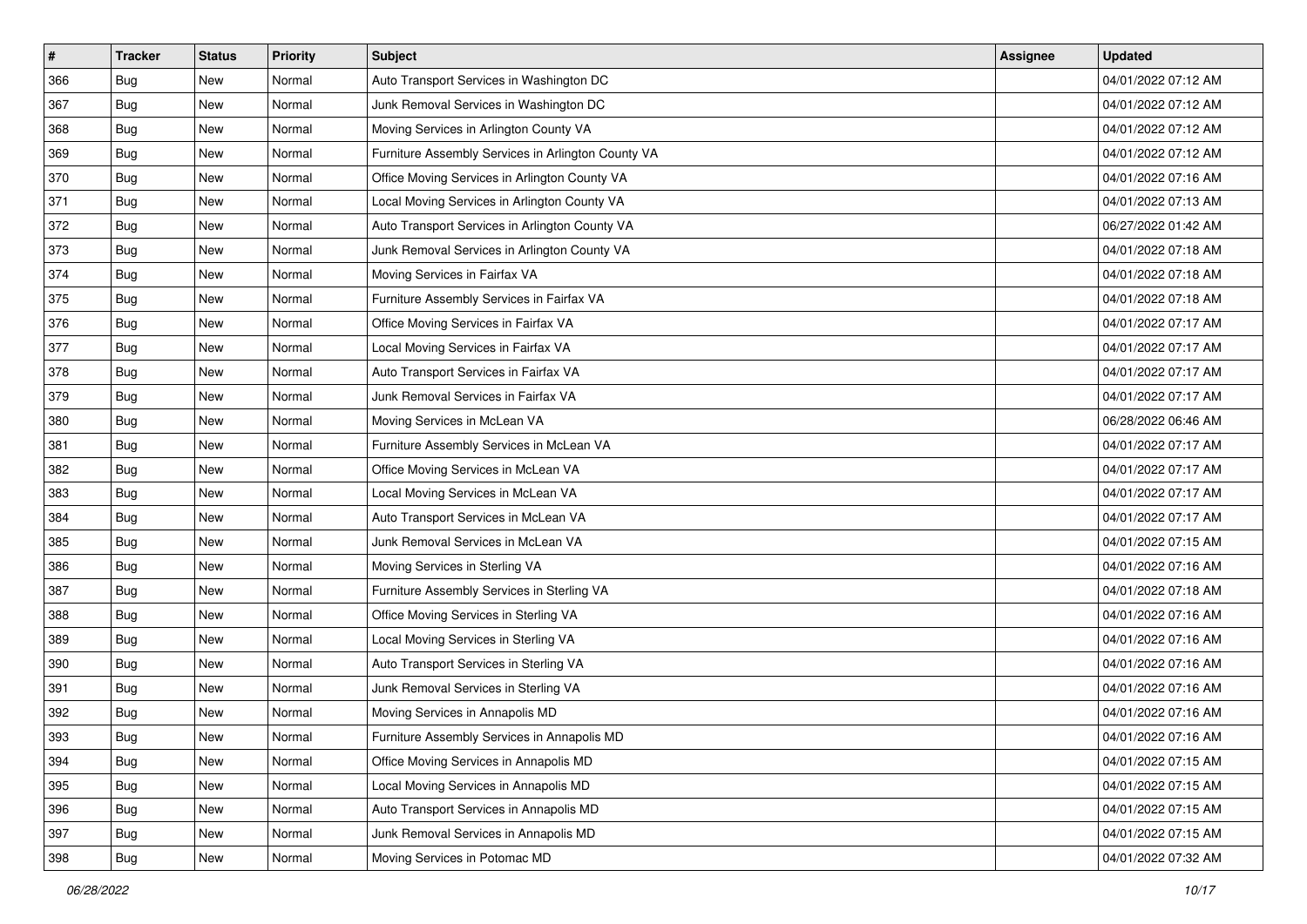| $\sharp$ | <b>Tracker</b> | <b>Status</b> | <b>Priority</b> | Subject                                            | Assignee | <b>Updated</b>      |
|----------|----------------|---------------|-----------------|----------------------------------------------------|----------|---------------------|
| 366      | Bug            | New           | Normal          | Auto Transport Services in Washington DC           |          | 04/01/2022 07:12 AM |
| 367      | <b>Bug</b>     | New           | Normal          | Junk Removal Services in Washington DC             |          | 04/01/2022 07:12 AM |
| 368      | <b>Bug</b>     | New           | Normal          | Moving Services in Arlington County VA             |          | 04/01/2022 07:12 AM |
| 369      | Bug            | New           | Normal          | Furniture Assembly Services in Arlington County VA |          | 04/01/2022 07:12 AM |
| 370      | Bug            | New           | Normal          | Office Moving Services in Arlington County VA      |          | 04/01/2022 07:16 AM |
| 371      | Bug            | New           | Normal          | Local Moving Services in Arlington County VA       |          | 04/01/2022 07:13 AM |
| 372      | Bug            | New           | Normal          | Auto Transport Services in Arlington County VA     |          | 06/27/2022 01:42 AM |
| 373      | Bug            | New           | Normal          | Junk Removal Services in Arlington County VA       |          | 04/01/2022 07:18 AM |
| 374      | Bug            | New           | Normal          | Moving Services in Fairfax VA                      |          | 04/01/2022 07:18 AM |
| 375      | Bug            | New           | Normal          | Furniture Assembly Services in Fairfax VA          |          | 04/01/2022 07:18 AM |
| 376      | Bug            | New           | Normal          | Office Moving Services in Fairfax VA               |          | 04/01/2022 07:17 AM |
| 377      | <b>Bug</b>     | New           | Normal          | Local Moving Services in Fairfax VA                |          | 04/01/2022 07:17 AM |
| 378      | Bug            | New           | Normal          | Auto Transport Services in Fairfax VA              |          | 04/01/2022 07:17 AM |
| 379      | <b>Bug</b>     | New           | Normal          | Junk Removal Services in Fairfax VA                |          | 04/01/2022 07:17 AM |
| 380      | <b>Bug</b>     | New           | Normal          | Moving Services in McLean VA                       |          | 06/28/2022 06:46 AM |
| 381      | Bug            | New           | Normal          | Furniture Assembly Services in McLean VA           |          | 04/01/2022 07:17 AM |
| 382      | <b>Bug</b>     | New           | Normal          | Office Moving Services in McLean VA                |          | 04/01/2022 07:17 AM |
| 383      | Bug            | <b>New</b>    | Normal          | Local Moving Services in McLean VA                 |          | 04/01/2022 07:17 AM |
| 384      | <b>Bug</b>     | New           | Normal          | Auto Transport Services in McLean VA               |          | 04/01/2022 07:17 AM |
| 385      | Bug            | New           | Normal          | Junk Removal Services in McLean VA                 |          | 04/01/2022 07:15 AM |
| 386      | Bug            | New           | Normal          | Moving Services in Sterling VA                     |          | 04/01/2022 07:16 AM |
| 387      | <b>Bug</b>     | New           | Normal          | Furniture Assembly Services in Sterling VA         |          | 04/01/2022 07:18 AM |
| 388      | Bug            | New           | Normal          | Office Moving Services in Sterling VA              |          | 04/01/2022 07:16 AM |
| 389      | <b>Bug</b>     | New           | Normal          | Local Moving Services in Sterling VA               |          | 04/01/2022 07:16 AM |
| 390      | <b>Bug</b>     | New           | Normal          | Auto Transport Services in Sterling VA             |          | 04/01/2022 07:16 AM |
| 391      | Bug            | New           | Normal          | Junk Removal Services in Sterling VA               |          | 04/01/2022 07:16 AM |
| 392      | Bug            | New           | Normal          | Moving Services in Annapolis MD                    |          | 04/01/2022 07:16 AM |
| 393      | <b>Bug</b>     | New           | Normal          | Furniture Assembly Services in Annapolis MD        |          | 04/01/2022 07:16 AM |
| 394      | Bug            | New           | Normal          | Office Moving Services in Annapolis MD             |          | 04/01/2022 07:15 AM |
| 395      | Bug            | New           | Normal          | Local Moving Services in Annapolis MD              |          | 04/01/2022 07:15 AM |
| 396      | Bug            | New           | Normal          | Auto Transport Services in Annapolis MD            |          | 04/01/2022 07:15 AM |
| 397      | <b>Bug</b>     | New           | Normal          | Junk Removal Services in Annapolis MD              |          | 04/01/2022 07:15 AM |
| 398      | <b>Bug</b>     | New           | Normal          | Moving Services in Potomac MD                      |          | 04/01/2022 07:32 AM |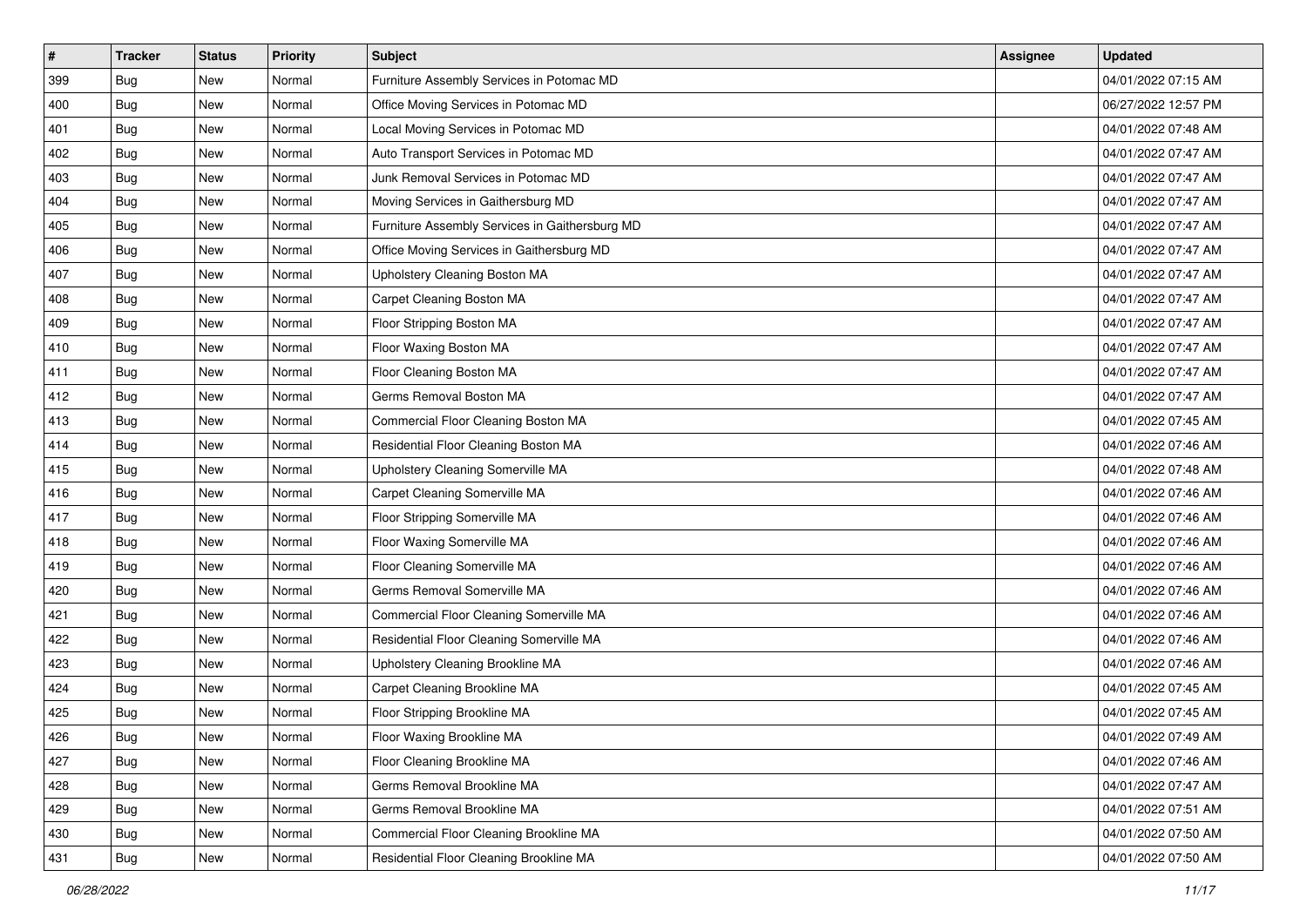| $\sharp$ | <b>Tracker</b> | <b>Status</b> | <b>Priority</b> | <b>Subject</b>                                 | <b>Assignee</b> | <b>Updated</b>      |
|----------|----------------|---------------|-----------------|------------------------------------------------|-----------------|---------------------|
| 399      | Bug            | New           | Normal          | Furniture Assembly Services in Potomac MD      |                 | 04/01/2022 07:15 AM |
| 400      | Bug            | New           | Normal          | Office Moving Services in Potomac MD           |                 | 06/27/2022 12:57 PM |
| 401      | <b>Bug</b>     | New           | Normal          | Local Moving Services in Potomac MD            |                 | 04/01/2022 07:48 AM |
| 402      | Bug            | New           | Normal          | Auto Transport Services in Potomac MD          |                 | 04/01/2022 07:47 AM |
| 403      | Bug            | <b>New</b>    | Normal          | Junk Removal Services in Potomac MD            |                 | 04/01/2022 07:47 AM |
| 404      | Bug            | New           | Normal          | Moving Services in Gaithersburg MD             |                 | 04/01/2022 07:47 AM |
| 405      | Bug            | New           | Normal          | Furniture Assembly Services in Gaithersburg MD |                 | 04/01/2022 07:47 AM |
| 406      | Bug            | New           | Normal          | Office Moving Services in Gaithersburg MD      |                 | 04/01/2022 07:47 AM |
| 407      | <b>Bug</b>     | New           | Normal          | Upholstery Cleaning Boston MA                  |                 | 04/01/2022 07:47 AM |
| 408      | Bug            | New           | Normal          | Carpet Cleaning Boston MA                      |                 | 04/01/2022 07:47 AM |
| 409      | Bug            | New           | Normal          | Floor Stripping Boston MA                      |                 | 04/01/2022 07:47 AM |
| 410      | Bug            | New           | Normal          | Floor Waxing Boston MA                         |                 | 04/01/2022 07:47 AM |
| 411      | Bug            | New           | Normal          | Floor Cleaning Boston MA                       |                 | 04/01/2022 07:47 AM |
| 412      | Bug            | New           | Normal          | Germs Removal Boston MA                        |                 | 04/01/2022 07:47 AM |
| 413      | Bug            | New           | Normal          | Commercial Floor Cleaning Boston MA            |                 | 04/01/2022 07:45 AM |
| 414      | <b>Bug</b>     | New           | Normal          | Residential Floor Cleaning Boston MA           |                 | 04/01/2022 07:46 AM |
| 415      | Bug            | New           | Normal          | Upholstery Cleaning Somerville MA              |                 | 04/01/2022 07:48 AM |
| 416      | Bug            | <b>New</b>    | Normal          | Carpet Cleaning Somerville MA                  |                 | 04/01/2022 07:46 AM |
| 417      | <b>Bug</b>     | New           | Normal          | Floor Stripping Somerville MA                  |                 | 04/01/2022 07:46 AM |
| 418      | Bug            | New           | Normal          | Floor Waxing Somerville MA                     |                 | 04/01/2022 07:46 AM |
| 419      | Bug            | New           | Normal          | Floor Cleaning Somerville MA                   |                 | 04/01/2022 07:46 AM |
| 420      | <b>Bug</b>     | New           | Normal          | Germs Removal Somerville MA                    |                 | 04/01/2022 07:46 AM |
| 421      | Bug            | <b>New</b>    | Normal          | Commercial Floor Cleaning Somerville MA        |                 | 04/01/2022 07:46 AM |
| 422      | Bug            | New           | Normal          | Residential Floor Cleaning Somerville MA       |                 | 04/01/2022 07:46 AM |
| 423      | Bug            | New           | Normal          | Upholstery Cleaning Brookline MA               |                 | 04/01/2022 07:46 AM |
| 424      | <b>Bug</b>     | New           | Normal          | Carpet Cleaning Brookline MA                   |                 | 04/01/2022 07:45 AM |
| 425      | Bug            | New           | Normal          | Floor Stripping Brookline MA                   |                 | 04/01/2022 07:45 AM |
| 426      | <b>Bug</b>     | New           | Normal          | Floor Waxing Brookline MA                      |                 | 04/01/2022 07:49 AM |
| 427      | Bug            | New           | Normal          | Floor Cleaning Brookline MA                    |                 | 04/01/2022 07:46 AM |
| 428      | Bug            | New           | Normal          | Germs Removal Brookline MA                     |                 | 04/01/2022 07:47 AM |
| 429      | Bug            | New           | Normal          | Germs Removal Brookline MA                     |                 | 04/01/2022 07:51 AM |
| 430      | <b>Bug</b>     | New           | Normal          | Commercial Floor Cleaning Brookline MA         |                 | 04/01/2022 07:50 AM |
| 431      | <b>Bug</b>     | New           | Normal          | Residential Floor Cleaning Brookline MA        |                 | 04/01/2022 07:50 AM |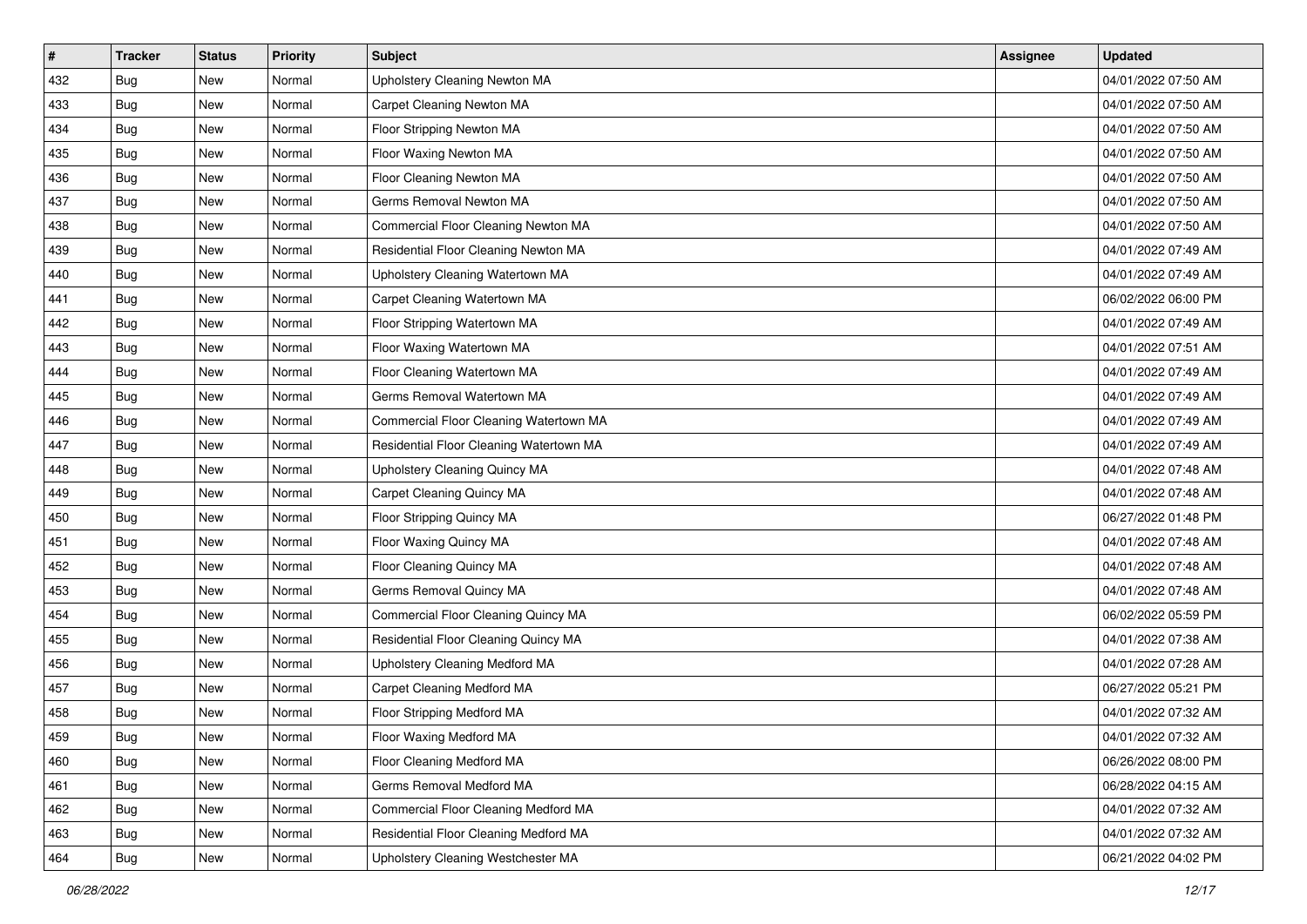| $\sharp$ | <b>Tracker</b> | <b>Status</b> | <b>Priority</b> | <b>Subject</b>                          | <b>Assignee</b> | <b>Updated</b>      |
|----------|----------------|---------------|-----------------|-----------------------------------------|-----------------|---------------------|
| 432      | <b>Bug</b>     | New           | Normal          | Upholstery Cleaning Newton MA           |                 | 04/01/2022 07:50 AM |
| 433      | Bug            | New           | Normal          | Carpet Cleaning Newton MA               |                 | 04/01/2022 07:50 AM |
| 434      | Bug            | New           | Normal          | Floor Stripping Newton MA               |                 | 04/01/2022 07:50 AM |
| 435      | Bug            | New           | Normal          | Floor Waxing Newton MA                  |                 | 04/01/2022 07:50 AM |
| 436      | Bug            | <b>New</b>    | Normal          | Floor Cleaning Newton MA                |                 | 04/01/2022 07:50 AM |
| 437      | Bug            | New           | Normal          | Germs Removal Newton MA                 |                 | 04/01/2022 07:50 AM |
| 438      | Bug            | New           | Normal          | Commercial Floor Cleaning Newton MA     |                 | 04/01/2022 07:50 AM |
| 439      | Bug            | New           | Normal          | Residential Floor Cleaning Newton MA    |                 | 04/01/2022 07:49 AM |
| 440      | <b>Bug</b>     | New           | Normal          | Upholstery Cleaning Watertown MA        |                 | 04/01/2022 07:49 AM |
| 441      | Bug            | New           | Normal          | Carpet Cleaning Watertown MA            |                 | 06/02/2022 06:00 PM |
| 442      | <b>Bug</b>     | New           | Normal          | Floor Stripping Watertown MA            |                 | 04/01/2022 07:49 AM |
| 443      | Bug            | New           | Normal          | Floor Waxing Watertown MA               |                 | 04/01/2022 07:51 AM |
| 444      | Bug            | New           | Normal          | Floor Cleaning Watertown MA             |                 | 04/01/2022 07:49 AM |
| 445      | Bug            | New           | Normal          | Germs Removal Watertown MA              |                 | 04/01/2022 07:49 AM |
| 446      | Bug            | New           | Normal          | Commercial Floor Cleaning Watertown MA  |                 | 04/01/2022 07:49 AM |
| 447      | <b>Bug</b>     | New           | Normal          | Residential Floor Cleaning Watertown MA |                 | 04/01/2022 07:49 AM |
| 448      | Bug            | New           | Normal          | Upholstery Cleaning Quincy MA           |                 | 04/01/2022 07:48 AM |
| 449      | Bug            | <b>New</b>    | Normal          | Carpet Cleaning Quincy MA               |                 | 04/01/2022 07:48 AM |
| 450      | <b>Bug</b>     | New           | Normal          | Floor Stripping Quincy MA               |                 | 06/27/2022 01:48 PM |
| 451      | Bug            | New           | Normal          | Floor Waxing Quincy MA                  |                 | 04/01/2022 07:48 AM |
| 452      | <b>Bug</b>     | New           | Normal          | Floor Cleaning Quincy MA                |                 | 04/01/2022 07:48 AM |
| 453      | <b>Bug</b>     | New           | Normal          | Germs Removal Quincy MA                 |                 | 04/01/2022 07:48 AM |
| 454      | Bug            | <b>New</b>    | Normal          | Commercial Floor Cleaning Quincy MA     |                 | 06/02/2022 05:59 PM |
| 455      | <b>Bug</b>     | New           | Normal          | Residential Floor Cleaning Quincy MA    |                 | 04/01/2022 07:38 AM |
| 456      | <b>Bug</b>     | New           | Normal          | Upholstery Cleaning Medford MA          |                 | 04/01/2022 07:28 AM |
| 457      | Bug            | New           | Normal          | Carpet Cleaning Medford MA              |                 | 06/27/2022 05:21 PM |
| 458      | <b>Bug</b>     | New           | Normal          | Floor Stripping Medford MA              |                 | 04/01/2022 07:32 AM |
| 459      | <b>Bug</b>     | New           | Normal          | Floor Waxing Medford MA                 |                 | 04/01/2022 07:32 AM |
| 460      | <b>Bug</b>     | New           | Normal          | Floor Cleaning Medford MA               |                 | 06/26/2022 08:00 PM |
| 461      | <b>Bug</b>     | New           | Normal          | Germs Removal Medford MA                |                 | 06/28/2022 04:15 AM |
| 462      | <b>Bug</b>     | New           | Normal          | Commercial Floor Cleaning Medford MA    |                 | 04/01/2022 07:32 AM |
| 463      | <b>Bug</b>     | New           | Normal          | Residential Floor Cleaning Medford MA   |                 | 04/01/2022 07:32 AM |
| 464      | <b>Bug</b>     | New           | Normal          | Upholstery Cleaning Westchester MA      |                 | 06/21/2022 04:02 PM |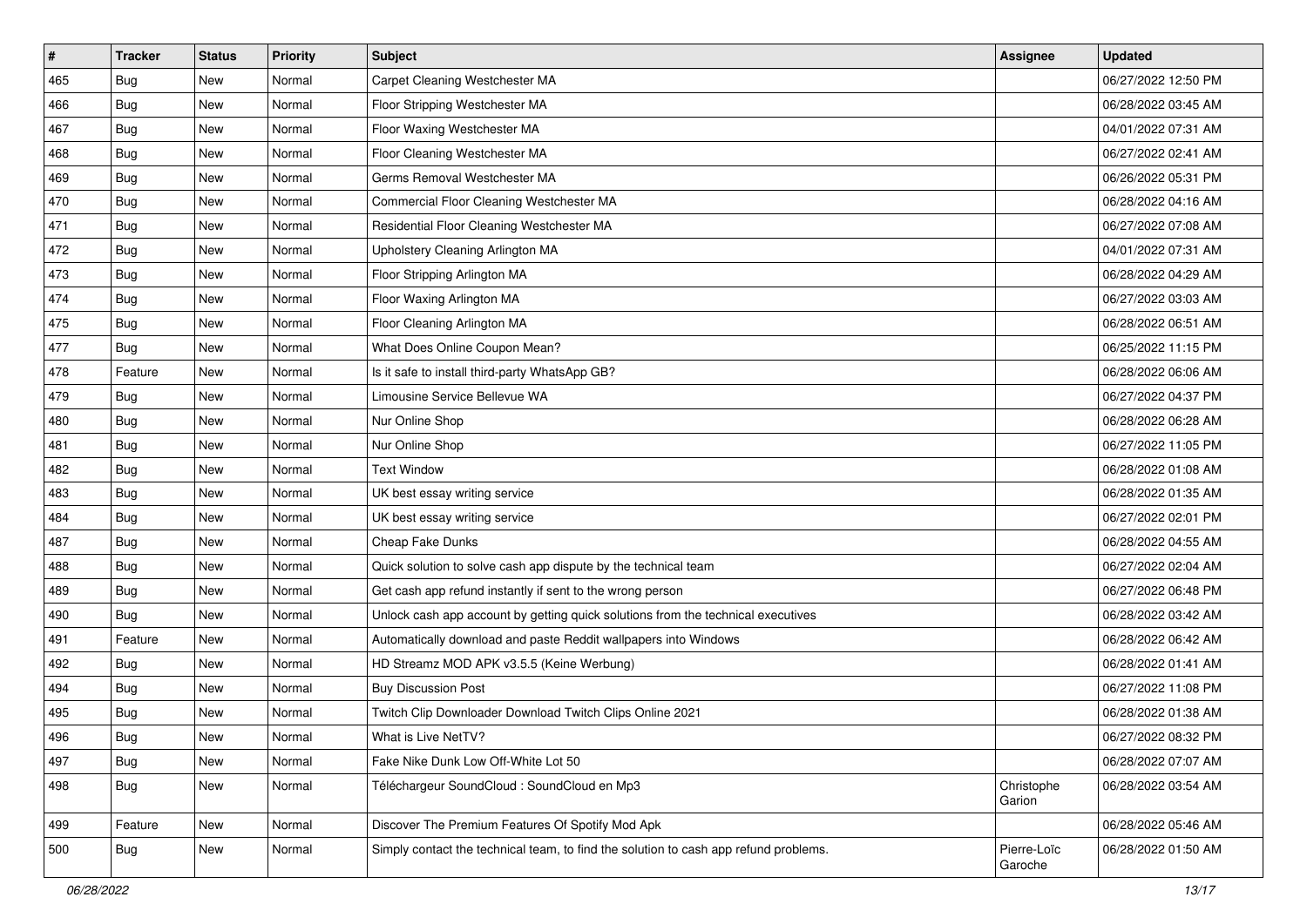| $\vert$ # | <b>Tracker</b> | <b>Status</b> | Priority | Subject                                                                              | <b>Assignee</b>        | <b>Updated</b>      |
|-----------|----------------|---------------|----------|--------------------------------------------------------------------------------------|------------------------|---------------------|
| 465       | <b>Bug</b>     | New           | Normal   | Carpet Cleaning Westchester MA                                                       |                        | 06/27/2022 12:50 PM |
| 466       | Bug            | New           | Normal   | Floor Stripping Westchester MA                                                       |                        | 06/28/2022 03:45 AM |
| 467       | Bug            | New           | Normal   | Floor Waxing Westchester MA                                                          |                        | 04/01/2022 07:31 AM |
| 468       | <b>Bug</b>     | <b>New</b>    | Normal   | Floor Cleaning Westchester MA                                                        |                        | 06/27/2022 02:41 AM |
| 469       | Bug            | <b>New</b>    | Normal   | Germs Removal Westchester MA                                                         |                        | 06/26/2022 05:31 PM |
| 470       | <b>Bug</b>     | New           | Normal   | Commercial Floor Cleaning Westchester MA                                             |                        | 06/28/2022 04:16 AM |
| 471       | <b>Bug</b>     | <b>New</b>    | Normal   | Residential Floor Cleaning Westchester MA                                            |                        | 06/27/2022 07:08 AM |
| 472       | <b>Bug</b>     | <b>New</b>    | Normal   | Upholstery Cleaning Arlington MA                                                     |                        | 04/01/2022 07:31 AM |
| 473       | <b>Bug</b>     | New           | Normal   | Floor Stripping Arlington MA                                                         |                        | 06/28/2022 04:29 AM |
| 474       | Bug            | <b>New</b>    | Normal   | Floor Waxing Arlington MA                                                            |                        | 06/27/2022 03:03 AM |
| 475       | <b>Bug</b>     | <b>New</b>    | Normal   | Floor Cleaning Arlington MA                                                          |                        | 06/28/2022 06:51 AM |
| 477       | Bug            | <b>New</b>    | Normal   | What Does Online Coupon Mean?                                                        |                        | 06/25/2022 11:15 PM |
| 478       | Feature        | New           | Normal   | Is it safe to install third-party WhatsApp GB?                                       |                        | 06/28/2022 06:06 AM |
| 479       | Bug            | New           | Normal   | Limousine Service Bellevue WA                                                        |                        | 06/27/2022 04:37 PM |
| 480       | Bug            | <b>New</b>    | Normal   | Nur Online Shop                                                                      |                        | 06/28/2022 06:28 AM |
| 481       | Bug            | New           | Normal   | Nur Online Shop                                                                      |                        | 06/27/2022 11:05 PM |
| 482       | <b>Bug</b>     | <b>New</b>    | Normal   | <b>Text Window</b>                                                                   |                        | 06/28/2022 01:08 AM |
| 483       | <b>Bug</b>     | <b>New</b>    | Normal   | UK best essay writing service                                                        |                        | 06/28/2022 01:35 AM |
| 484       | Bug            | New           | Normal   | UK best essay writing service                                                        |                        | 06/27/2022 02:01 PM |
| 487       | Bug            | <b>New</b>    | Normal   | Cheap Fake Dunks                                                                     |                        | 06/28/2022 04:55 AM |
| 488       | <b>Bug</b>     | New           | Normal   | Quick solution to solve cash app dispute by the technical team                       |                        | 06/27/2022 02:04 AM |
| 489       | <b>Bug</b>     | New           | Normal   | Get cash app refund instantly if sent to the wrong person                            |                        | 06/27/2022 06:48 PM |
| 490       | Bug            | <b>New</b>    | Normal   | Unlock cash app account by getting quick solutions from the technical executives     |                        | 06/28/2022 03:42 AM |
| 491       | Feature        | <b>New</b>    | Normal   | Automatically download and paste Reddit wallpapers into Windows                      |                        | 06/28/2022 06:42 AM |
| 492       | <b>Bug</b>     | <b>New</b>    | Normal   | HD Streamz MOD APK v3.5.5 (Keine Werbung)                                            |                        | 06/28/2022 01:41 AM |
| 494       | Bug            | New           | Normal   | <b>Buy Discussion Post</b>                                                           |                        | 06/27/2022 11:08 PM |
| 495       | <b>Bug</b>     | New           | Normal   | Twitch Clip Downloader Download Twitch Clips Online 2021                             |                        | 06/28/2022 01:38 AM |
| 496       | <b>Bug</b>     | New           | Normal   | What is Live NetTV?                                                                  |                        | 06/27/2022 08:32 PM |
| 497       | Bug            | New           | Normal   | Fake Nike Dunk Low Off-White Lot 50                                                  |                        | 06/28/2022 07:07 AM |
| 498       | Bug            | New           | Normal   | Téléchargeur SoundCloud : SoundCloud en Mp3                                          | Christophe<br>Garion   | 06/28/2022 03:54 AM |
| 499       | Feature        | New           | Normal   | Discover The Premium Features Of Spotify Mod Apk                                     |                        | 06/28/2022 05:46 AM |
| 500       | Bug            | New           | Normal   | Simply contact the technical team, to find the solution to cash app refund problems. | Pierre-Loïc<br>Garoche | 06/28/2022 01:50 AM |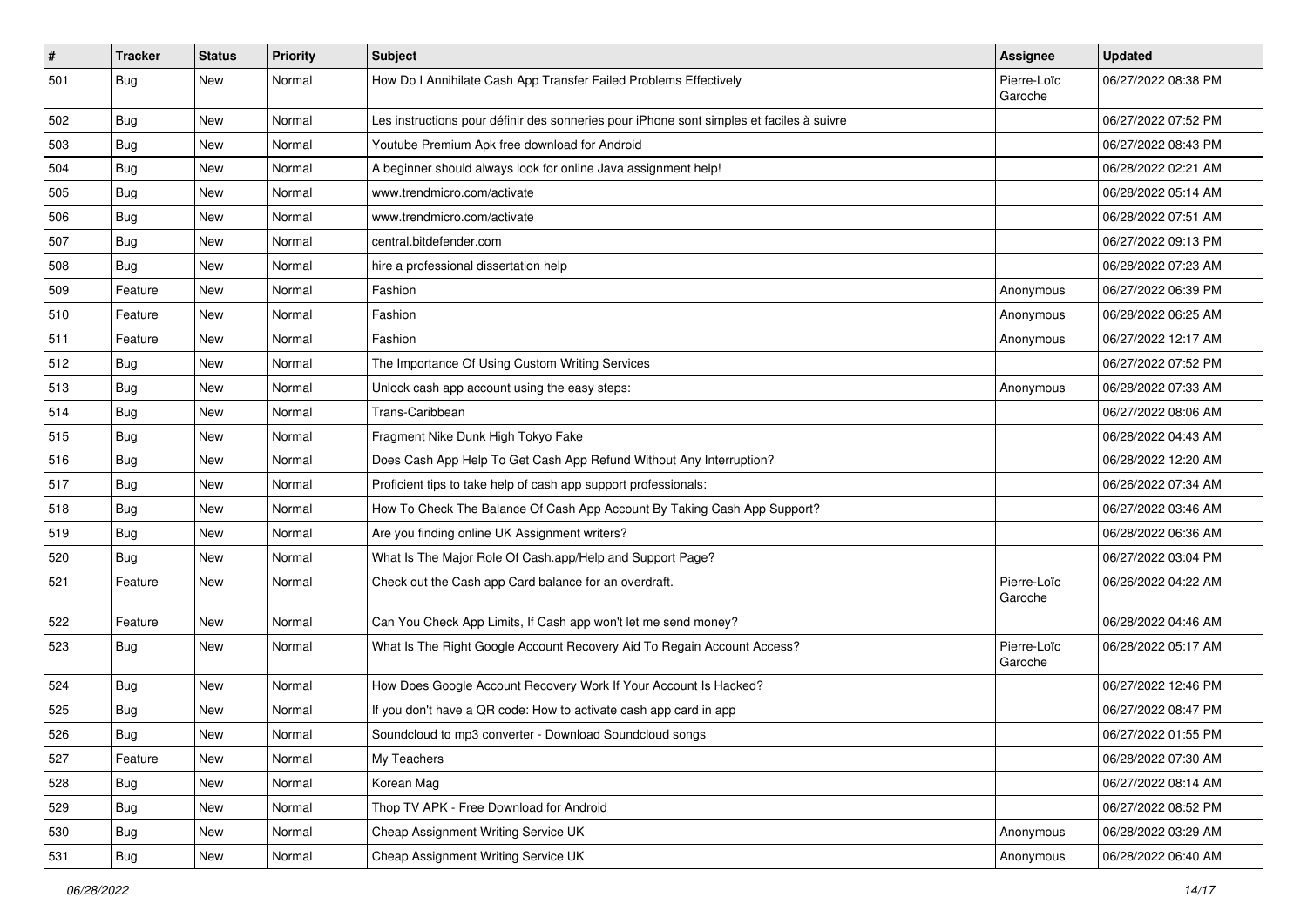| $\vert$ # | <b>Tracker</b> | <b>Status</b> | Priority | <b>Subject</b>                                                                           | <b>Assignee</b>        | <b>Updated</b>      |
|-----------|----------------|---------------|----------|------------------------------------------------------------------------------------------|------------------------|---------------------|
| 501       | Bug            | New           | Normal   | How Do I Annihilate Cash App Transfer Failed Problems Effectively                        | Pierre-Loïc<br>Garoche | 06/27/2022 08:38 PM |
| 502       | Bug            | New           | Normal   | Les instructions pour définir des sonneries pour iPhone sont simples et faciles à suivre |                        | 06/27/2022 07:52 PM |
| 503       | Bug            | New           | Normal   | Youtube Premium Apk free download for Android                                            |                        | 06/27/2022 08:43 PM |
| 504       | Bug            | New           | Normal   | A beginner should always look for online Java assignment help!                           |                        | 06/28/2022 02:21 AM |
| 505       | <b>Bug</b>     | New           | Normal   | www.trendmicro.com/activate                                                              |                        | 06/28/2022 05:14 AM |
| 506       | <b>Bug</b>     | New           | Normal   | www.trendmicro.com/activate                                                              |                        | 06/28/2022 07:51 AM |
| 507       | Bug            | New           | Normal   | central.bitdefender.com                                                                  |                        | 06/27/2022 09:13 PM |
| 508       | <b>Bug</b>     | New           | Normal   | hire a professional dissertation help                                                    |                        | 06/28/2022 07:23 AM |
| 509       | Feature        | New           | Normal   | Fashion                                                                                  | Anonymous              | 06/27/2022 06:39 PM |
| 510       | Feature        | New           | Normal   | Fashion                                                                                  | Anonymous              | 06/28/2022 06:25 AM |
| 511       | Feature        | New           | Normal   | Fashion                                                                                  | Anonymous              | 06/27/2022 12:17 AM |
| 512       | Bug            | New           | Normal   | The Importance Of Using Custom Writing Services                                          |                        | 06/27/2022 07:52 PM |
| 513       | <b>Bug</b>     | New           | Normal   | Unlock cash app account using the easy steps:                                            | Anonymous              | 06/28/2022 07:33 AM |
| 514       | <b>Bug</b>     | New           | Normal   | Trans-Caribbean                                                                          |                        | 06/27/2022 08:06 AM |
| 515       | <b>Bug</b>     | New           | Normal   | Fragment Nike Dunk High Tokyo Fake                                                       |                        | 06/28/2022 04:43 AM |
| 516       | <b>Bug</b>     | New           | Normal   | Does Cash App Help To Get Cash App Refund Without Any Interruption?                      |                        | 06/28/2022 12:20 AM |
| 517       | Bug            | <b>New</b>    | Normal   | Proficient tips to take help of cash app support professionals:                          |                        | 06/26/2022 07:34 AM |
| 518       | <b>Bug</b>     | New           | Normal   | How To Check The Balance Of Cash App Account By Taking Cash App Support?                 |                        | 06/27/2022 03:46 AM |
| 519       | <b>Bug</b>     | New           | Normal   | Are you finding online UK Assignment writers?                                            |                        | 06/28/2022 06:36 AM |
| 520       | <b>Bug</b>     | New           | Normal   | What Is The Major Role Of Cash.app/Help and Support Page?                                |                        | 06/27/2022 03:04 PM |
| 521       | Feature        | New           | Normal   | Check out the Cash app Card balance for an overdraft.                                    | Pierre-Loïc<br>Garoche | 06/26/2022 04:22 AM |
| 522       | Feature        | <b>New</b>    | Normal   | Can You Check App Limits, If Cash app won't let me send money?                           |                        | 06/28/2022 04:46 AM |
| 523       | Bug            | New           | Normal   | What Is The Right Google Account Recovery Aid To Regain Account Access?                  | Pierre-Loïc<br>Garoche | 06/28/2022 05:17 AM |
| 524       | <b>Bug</b>     | New           | Normal   | How Does Google Account Recovery Work If Your Account Is Hacked?                         |                        | 06/27/2022 12:46 PM |
| 525       | <b>Bug</b>     | New           | Normal   | If you don't have a QR code: How to activate cash app card in app                        |                        | 06/27/2022 08:47 PM |
| 526       | Bug            | New           | Normal   | Soundcloud to mp3 converter - Download Soundcloud songs                                  |                        | 06/27/2022 01:55 PM |
| 527       | Feature        | New           | Normal   | My Teachers                                                                              |                        | 06/28/2022 07:30 AM |
| 528       | Bug            | New           | Normal   | Korean Mag                                                                               |                        | 06/27/2022 08:14 AM |
| 529       | Bug            | New           | Normal   | Thop TV APK - Free Download for Android                                                  |                        | 06/27/2022 08:52 PM |
| 530       | Bug            | New           | Normal   | Cheap Assignment Writing Service UK                                                      | Anonymous              | 06/28/2022 03:29 AM |
| 531       | <b>Bug</b>     | New           | Normal   | Cheap Assignment Writing Service UK                                                      | Anonymous              | 06/28/2022 06:40 AM |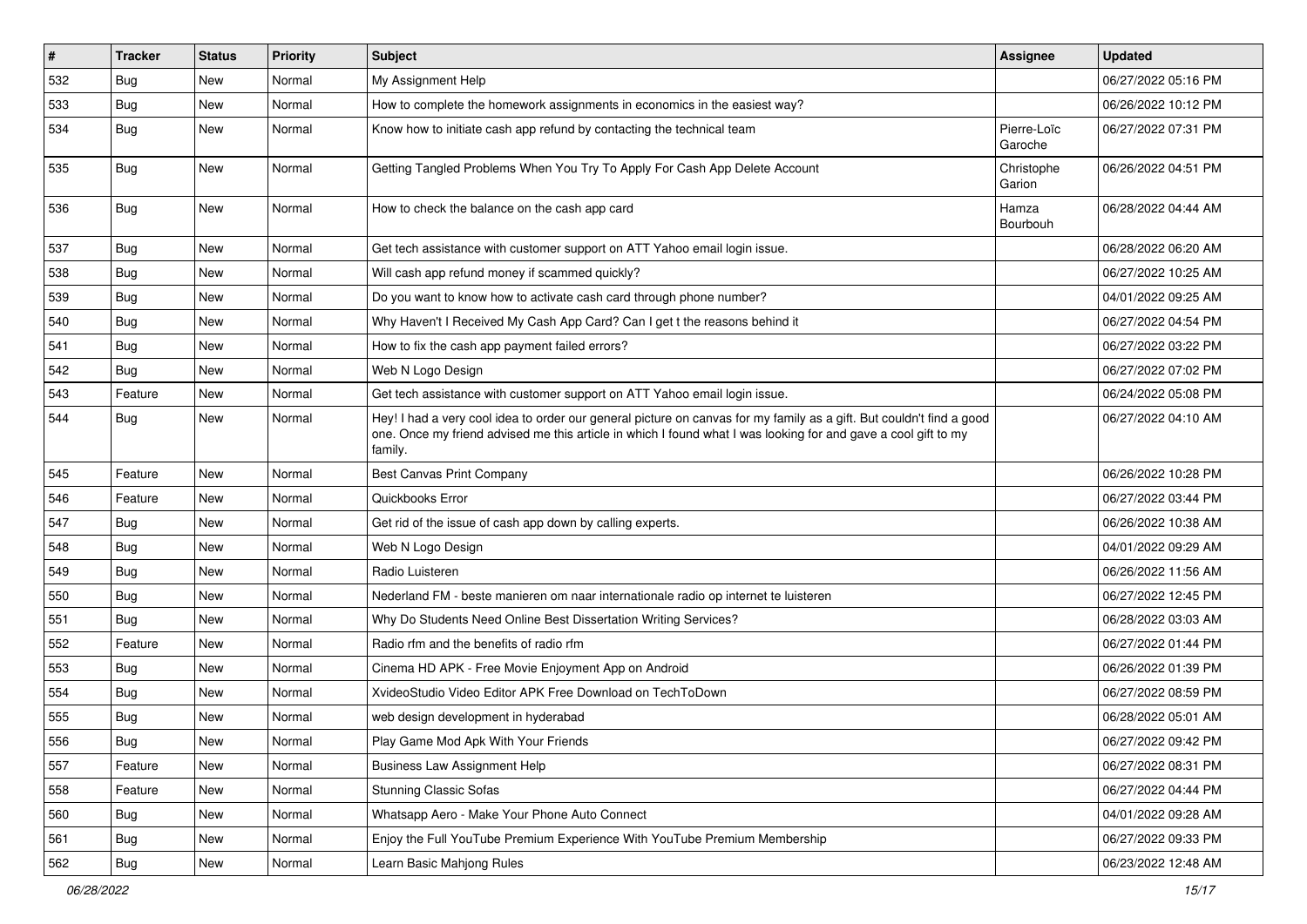| $\vert$ # | <b>Tracker</b> | <b>Status</b> | Priority | Subject                                                                                                                                                                                                                                           | Assignee               | <b>Updated</b>      |
|-----------|----------------|---------------|----------|---------------------------------------------------------------------------------------------------------------------------------------------------------------------------------------------------------------------------------------------------|------------------------|---------------------|
| 532       | <b>Bug</b>     | New           | Normal   | My Assignment Help                                                                                                                                                                                                                                |                        | 06/27/2022 05:16 PM |
| 533       | Bug            | New           | Normal   | How to complete the homework assignments in economics in the easiest way?                                                                                                                                                                         |                        | 06/26/2022 10:12 PM |
| 534       | Bug            | New           | Normal   | Know how to initiate cash app refund by contacting the technical team                                                                                                                                                                             | Pierre-Loïc<br>Garoche | 06/27/2022 07:31 PM |
| 535       | Bug            | <b>New</b>    | Normal   | Getting Tangled Problems When You Try To Apply For Cash App Delete Account                                                                                                                                                                        | Christophe<br>Garion   | 06/26/2022 04:51 PM |
| 536       | Bug            | New           | Normal   | How to check the balance on the cash app card                                                                                                                                                                                                     | Hamza<br>Bourbouh      | 06/28/2022 04:44 AM |
| 537       | Bug            | New           | Normal   | Get tech assistance with customer support on ATT Yahoo email login issue.                                                                                                                                                                         |                        | 06/28/2022 06:20 AM |
| 538       | Bug            | New           | Normal   | Will cash app refund money if scammed quickly?                                                                                                                                                                                                    |                        | 06/27/2022 10:25 AM |
| 539       | Bug            | New           | Normal   | Do you want to know how to activate cash card through phone number?                                                                                                                                                                               |                        | 04/01/2022 09:25 AM |
| 540       | Bug            | New           | Normal   | Why Haven't I Received My Cash App Card? Can I get t the reasons behind it                                                                                                                                                                        |                        | 06/27/2022 04:54 PM |
| 541       | Bug            | New           | Normal   | How to fix the cash app payment failed errors?                                                                                                                                                                                                    |                        | 06/27/2022 03:22 PM |
| 542       | Bug            | New           | Normal   | Web N Logo Design                                                                                                                                                                                                                                 |                        | 06/27/2022 07:02 PM |
| 543       | Feature        | New           | Normal   | Get tech assistance with customer support on ATT Yahoo email login issue.                                                                                                                                                                         |                        | 06/24/2022 05:08 PM |
| 544       | Bug            | New           | Normal   | Hey! I had a very cool idea to order our general picture on canvas for my family as a gift. But couldn't find a good<br>one. Once my friend advised me this article in which I found what I was looking for and gave a cool gift to my<br>family. |                        | 06/27/2022 04:10 AM |
| 545       | Feature        | <b>New</b>    | Normal   | Best Canvas Print Company                                                                                                                                                                                                                         |                        | 06/26/2022 10:28 PM |
| 546       | Feature        | New           | Normal   | Quickbooks Error                                                                                                                                                                                                                                  |                        | 06/27/2022 03:44 PM |
| 547       | Bug            | <b>New</b>    | Normal   | Get rid of the issue of cash app down by calling experts.                                                                                                                                                                                         |                        | 06/26/2022 10:38 AM |
| 548       | <b>Bug</b>     | New           | Normal   | Web N Logo Design                                                                                                                                                                                                                                 |                        | 04/01/2022 09:29 AM |
| 549       | Bug            | New           | Normal   | Radio Luisteren                                                                                                                                                                                                                                   |                        | 06/26/2022 11:56 AM |
| 550       | Bug            | <b>New</b>    | Normal   | Nederland FM - beste manieren om naar internationale radio op internet te luisteren                                                                                                                                                               |                        | 06/27/2022 12:45 PM |
| 551       | <b>Bug</b>     | New           | Normal   | Why Do Students Need Online Best Dissertation Writing Services?                                                                                                                                                                                   |                        | 06/28/2022 03:03 AM |
| 552       | Feature        | <b>New</b>    | Normal   | Radio rfm and the benefits of radio rfm                                                                                                                                                                                                           |                        | 06/27/2022 01:44 PM |
| 553       | Bug            | New           | Normal   | Cinema HD APK - Free Movie Enjoyment App on Android                                                                                                                                                                                               |                        | 06/26/2022 01:39 PM |
| 554       | <b>Bug</b>     | New           | Normal   | XvideoStudio Video Editor APK Free Download on TechToDown                                                                                                                                                                                         |                        | 06/27/2022 08:59 PM |
| 555       | Bug            | <b>New</b>    | Normal   | web design development in hyderabad                                                                                                                                                                                                               |                        | 06/28/2022 05:01 AM |
| 556       | Bug            | New           | Normal   | Play Game Mod Apk With Your Friends                                                                                                                                                                                                               |                        | 06/27/2022 09:42 PM |
| 557       | Feature        | New           | Normal   | <b>Business Law Assignment Help</b>                                                                                                                                                                                                               |                        | 06/27/2022 08:31 PM |
| 558       | Feature        | New           | Normal   | <b>Stunning Classic Sofas</b>                                                                                                                                                                                                                     |                        | 06/27/2022 04:44 PM |
| 560       | Bug            | New           | Normal   | Whatsapp Aero - Make Your Phone Auto Connect                                                                                                                                                                                                      |                        | 04/01/2022 09:28 AM |
| 561       | <b>Bug</b>     | New           | Normal   | Enjoy the Full YouTube Premium Experience With YouTube Premium Membership                                                                                                                                                                         |                        | 06/27/2022 09:33 PM |
| 562       | <b>Bug</b>     | New           | Normal   | Learn Basic Mahjong Rules                                                                                                                                                                                                                         |                        | 06/23/2022 12:48 AM |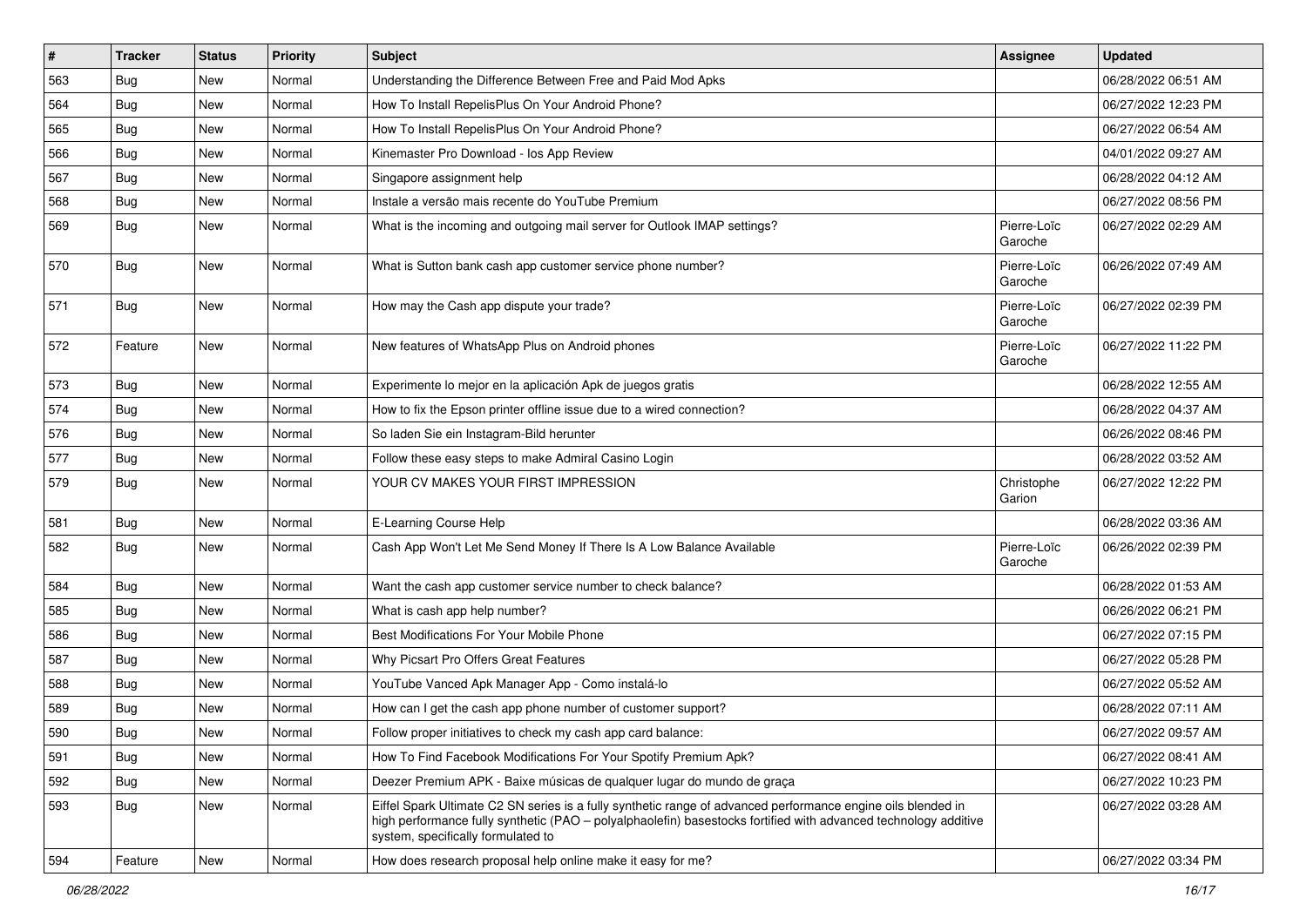| $\sharp$ | <b>Tracker</b> | <b>Status</b> | <b>Priority</b> | Subject                                                                                                                                                                                                                                                               | <b>Assignee</b>        | <b>Updated</b>      |
|----------|----------------|---------------|-----------------|-----------------------------------------------------------------------------------------------------------------------------------------------------------------------------------------------------------------------------------------------------------------------|------------------------|---------------------|
| 563      | Bug            | New           | Normal          | Understanding the Difference Between Free and Paid Mod Apks                                                                                                                                                                                                           |                        | 06/28/2022 06:51 AM |
| 564      | Bug            | New           | Normal          | How To Install RepelisPlus On Your Android Phone?                                                                                                                                                                                                                     |                        | 06/27/2022 12:23 PM |
| 565      | Bug            | New           | Normal          | How To Install RepelisPlus On Your Android Phone?                                                                                                                                                                                                                     |                        | 06/27/2022 06:54 AM |
| 566      | Bug            | <b>New</b>    | Normal          | Kinemaster Pro Download - los App Review                                                                                                                                                                                                                              |                        | 04/01/2022 09:27 AM |
| 567      | Bug            | New           | Normal          | Singapore assignment help                                                                                                                                                                                                                                             |                        | 06/28/2022 04:12 AM |
| 568      | Bug            | New           | Normal          | Instale a versão mais recente do YouTube Premium                                                                                                                                                                                                                      |                        | 06/27/2022 08:56 PM |
| 569      | <b>Bug</b>     | New           | Normal          | What is the incoming and outgoing mail server for Outlook IMAP settings?                                                                                                                                                                                              | Pierre-Loïc<br>Garoche | 06/27/2022 02:29 AM |
| 570      | Bug            | New           | Normal          | What is Sutton bank cash app customer service phone number?                                                                                                                                                                                                           | Pierre-Loïc<br>Garoche | 06/26/2022 07:49 AM |
| 571      | <b>Bug</b>     | New           | Normal          | How may the Cash app dispute your trade?                                                                                                                                                                                                                              | Pierre-Loïc<br>Garoche | 06/27/2022 02:39 PM |
| 572      | Feature        | New           | Normal          | New features of WhatsApp Plus on Android phones                                                                                                                                                                                                                       | Pierre-Loïc<br>Garoche | 06/27/2022 11:22 PM |
| 573      | Bug            | New           | Normal          | Experimente lo mejor en la aplicación Apk de juegos gratis                                                                                                                                                                                                            |                        | 06/28/2022 12:55 AM |
| 574      | Bug            | New           | Normal          | How to fix the Epson printer offline issue due to a wired connection?                                                                                                                                                                                                 |                        | 06/28/2022 04:37 AM |
| 576      | <b>Bug</b>     | New           | Normal          | So laden Sie ein Instagram-Bild herunter                                                                                                                                                                                                                              |                        | 06/26/2022 08:46 PM |
| 577      | <b>Bug</b>     | New           | Normal          | Follow these easy steps to make Admiral Casino Login                                                                                                                                                                                                                  |                        | 06/28/2022 03:52 AM |
| 579      | Bug            | New           | Normal          | YOUR CV MAKES YOUR FIRST IMPRESSION                                                                                                                                                                                                                                   | Christophe<br>Garion   | 06/27/2022 12:22 PM |
| 581      | Bug            | <b>New</b>    | Normal          | E-Learning Course Help                                                                                                                                                                                                                                                |                        | 06/28/2022 03:36 AM |
| 582      | <b>Bug</b>     | New           | Normal          | Cash App Won't Let Me Send Money If There Is A Low Balance Available                                                                                                                                                                                                  | Pierre-Loïc<br>Garoche | 06/26/2022 02:39 PM |
| 584      | Bug            | New           | Normal          | Want the cash app customer service number to check balance?                                                                                                                                                                                                           |                        | 06/28/2022 01:53 AM |
| 585      | <b>Bug</b>     | New           | Normal          | What is cash app help number?                                                                                                                                                                                                                                         |                        | 06/26/2022 06:21 PM |
| 586      | Bug            | New           | Normal          | Best Modifications For Your Mobile Phone                                                                                                                                                                                                                              |                        | 06/27/2022 07:15 PM |
| 587      | Bug            | New           | Normal          | Why Picsart Pro Offers Great Features                                                                                                                                                                                                                                 |                        | 06/27/2022 05:28 PM |
| 588      | <b>Bug</b>     | New           | Normal          | YouTube Vanced Apk Manager App - Como instalá-lo                                                                                                                                                                                                                      |                        | 06/27/2022 05:52 AM |
| 589      | <b>Bug</b>     | New           | Normal          | How can I get the cash app phone number of customer support?                                                                                                                                                                                                          |                        | 06/28/2022 07:11 AM |
| 590      | Bug            | New           | Normal          | Follow proper initiatives to check my cash app card balance:                                                                                                                                                                                                          |                        | 06/27/2022 09:57 AM |
| 591      | Bug            | New           | Normal          | How To Find Facebook Modifications For Your Spotify Premium Apk?                                                                                                                                                                                                      |                        | 06/27/2022 08:41 AM |
| 592      | Bug            | New           | Normal          | Deezer Premium APK - Baixe músicas de qualquer lugar do mundo de graça                                                                                                                                                                                                |                        | 06/27/2022 10:23 PM |
| 593      | Bug            | New           | Normal          | Eiffel Spark Ultimate C2 SN series is a fully synthetic range of advanced performance engine oils blended in<br>high performance fully synthetic (PAO - polyalphaolefin) basestocks fortified with advanced technology additive<br>system, specifically formulated to |                        | 06/27/2022 03:28 AM |
| 594      | Feature        | New           | Normal          | How does research proposal help online make it easy for me?                                                                                                                                                                                                           |                        | 06/27/2022 03:34 PM |